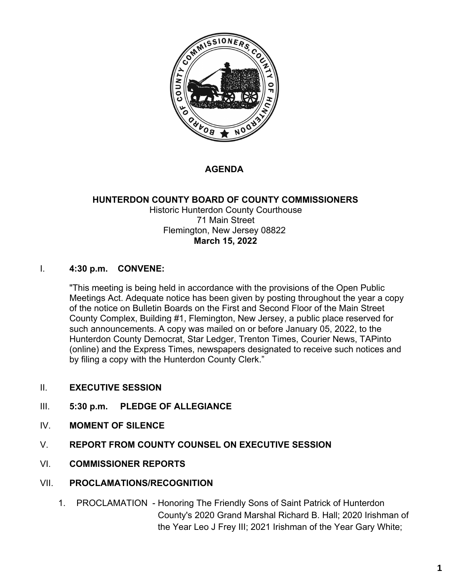

### **AGENDA**

#### **HUNTERDON COUNTY BOARD OF COUNTY COMMISSIONERS** Historic Hunterdon County Courthouse 71 Main Street Flemington, New Jersey 08822 **March 15, 2022**

#### I. **4:30 p.m. CONVENE:**

"This meeting is being held in accordance with the provisions of the Open Public Meetings Act. Adequate notice has been given by posting throughout the year a copy of the notice on Bulletin Boards on the First and Second Floor of the Main Street County Complex, Building #1, Flemington, New Jersey, a public place reserved for such announcements. A copy was mailed on or before January 05, 2022, to the Hunterdon County Democrat, Star Ledger, Trenton Times, Courier News, TAPinto (online) and the Express Times, newspapers designated to receive such notices and by filing a copy with the Hunterdon County Clerk."

- II. **EXECUTIVE SESSION**
- III. **5:30 p.m. PLEDGE OF ALLEGIANCE**
- IV. **MOMENT OF SILENCE**
- V. **REPORT FROM COUNTY COUNSEL ON EXECUTIVE SESSION**
- VI. **COMMISSIONER REPORTS**
- VII. **PROCLAMATIONS/RECOGNITION**
	- 1. PROCLAMATION Honoring The Friendly Sons of Saint Patrick of Hunterdon County's 2020 Grand Marshal Richard B. Hall; 2020 Irishman of the Year Leo J Frey III; 2021 Irishman of the Year Gary White;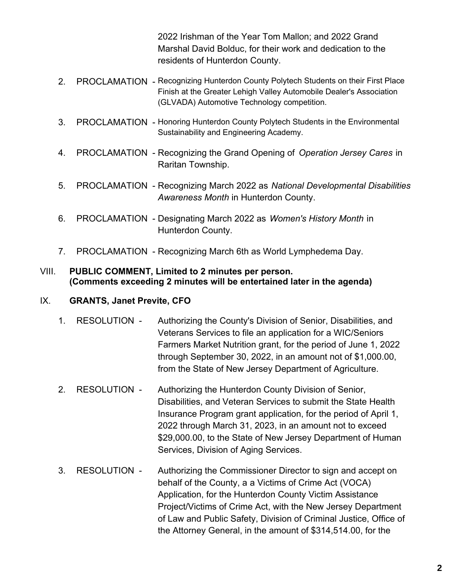2022 Irishman of the Year Tom Mallon; and 2022 Grand Marshal David Bolduc, for their work and dedication to the residents of Hunterdon County.

- 2. PROCLAMATION Recognizing Hunterdon County Polytech Students on their First Place Finish at the Greater Lehigh Valley Automobile Dealer's Association (GLVADA) Automotive Technology competition.
- 3. PROCLAMATION Honoring Hunterdon County Polytech Students in the Environmental Sustainability and Engineering Academy.
- 4. PROCLAMATION Recognizing the Grand Opening of *Operation Jersey Cares* in Raritan Township.
- 5. PROCLAMATION Recognizing March 2022 as *National Developmental Disabilities Awareness Month* in Hunterdon County.
- 6. PROCLAMATION Designating March 2022 as *Women's History Month* in Hunterdon County.
- 7. PROCLAMATION Recognizing March 6th as World Lymphedema Day.

#### VIII. **PUBLIC COMMENT, Limited to 2 minutes per person. (Comments exceeding 2 minutes will be entertained later in the agenda)**

### IX. **GRANTS, Janet Previte, CFO**

- 1. RESOLUTION Authorizing the County's Division of Senior, Disabilities, and Veterans Services to file an application for a WIC/Seniors Farmers Market Nutrition grant, for the period of June 1, 2022 through September 30, 2022, in an amount not of \$1,000.00, from the State of New Jersey Department of Agriculture.
- 2. RESOLUTION Authorizing the Hunterdon County Division of Senior, Disabilities, and Veteran Services to submit the State Health Insurance Program grant application, for the period of April 1, 2022 through March 31, 2023, in an amount not to exceed \$29,000.00, to the State of New Jersey Department of Human Services, Division of Aging Services.
- 3. RESOLUTION Authorizing the Commissioner Director to sign and accept on behalf of the County, a a Victims of Crime Act (VOCA) Application, for the Hunterdon County Victim Assistance Project/Victims of Crime Act, with the New Jersey Department of Law and Public Safety, Division of Criminal Justice, Office of the Attorney General, in the amount of \$314,514.00, for the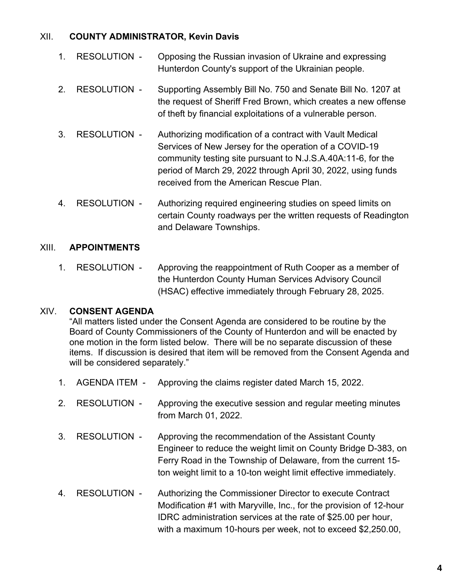#### XII. **COUNTY ADMINISTRATOR, Kevin Davis**

- 1. RESOLUTION Opposing the Russian invasion of Ukraine and expressing Hunterdon County's support of the Ukrainian people.
- 2. RESOLUTION Supporting Assembly Bill No. 750 and Senate Bill No. 1207 at the request of Sheriff Fred Brown, which creates a new offense of theft by financial exploitations of a vulnerable person.
- 3. RESOLUTION Authorizing modification of a contract with Vault Medical Services of New Jersey for the operation of a COVID-19 community testing site pursuant to N.J.S.A.40A:11-6, for the period of March 29, 2022 through April 30, 2022, using funds received from the American Rescue Plan.
- 4. RESOLUTION Authorizing required engineering studies on speed limits on certain County roadways per the written requests of Readington and Delaware Townships.

### XIII. **APPOINTMENTS**

1. RESOLUTION - Approving the reappointment of Ruth Cooper as a member of the Hunterdon County Human Services Advisory Council (HSAC) effective immediately through February 28, 2025.

### XIV. **CONSENT AGENDA**

"All matters listed under the Consent Agenda are considered to be routine by the Board of County Commissioners of the County of Hunterdon and will be enacted by one motion in the form listed below. There will be no separate discussion of these items. If discussion is desired that item will be removed from the Consent Agenda and will be considered separately."

- 1. AGENDA ITEM Approving the claims register dated March 15, 2022.
- 2. RESOLUTION Approving the executive session and regular meeting minutes from March 01, 2022.
- 3. RESOLUTION Approving the recommendation of the Assistant County Engineer to reduce the weight limit on County Bridge D-383, on Ferry Road in the Township of Delaware, from the current 15 ton weight limit to a 10-ton weight limit effective immediately.
- 4. RESOLUTION Authorizing the Commissioner Director to execute Contract Modification #1 with Maryville, Inc., for the provision of 12-hour IDRC administration services at the rate of \$25.00 per hour, with a maximum 10-hours per week, not to exceed \$2,250.00,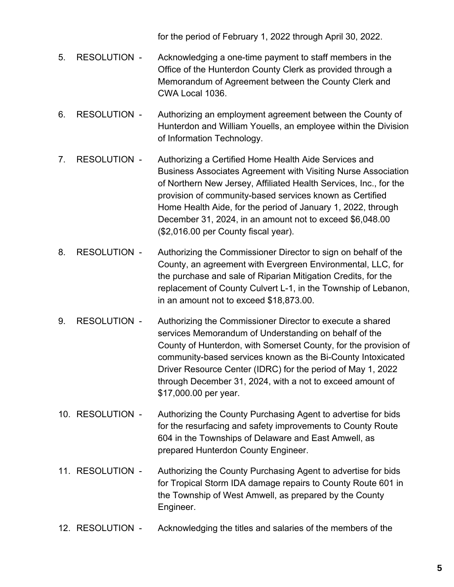for the period of February 1, 2022 through April 30, 2022.

- 5. RESOLUTION Acknowledging a one-time payment to staff members in the Office of the Hunterdon County Clerk as provided through a Memorandum of Agreement between the County Clerk and CWA Local 1036.
- 6. RESOLUTION Authorizing an employment agreement between the County of Hunterdon and William Youells, an employee within the Division of Information Technology.
- 7. RESOLUTION Authorizing a Certified Home Health Aide Services and Business Associates Agreement with Visiting Nurse Association of Northern New Jersey, Affiliated Health Services, Inc., for the provision of community-based services known as Certified Home Health Aide, for the period of January 1, 2022, through December 31, 2024, in an amount not to exceed \$6,048.00 (\$2,016.00 per County fiscal year).
- 8. RESOLUTION Authorizing the Commissioner Director to sign on behalf of the County, an agreement with Evergreen Environmental, LLC, for the purchase and sale of Riparian Mitigation Credits, for the replacement of County Culvert L-1, in the Township of Lebanon, in an amount not to exceed \$18,873.00.
- 9. RESOLUTION Authorizing the Commissioner Director to execute a shared services Memorandum of Understanding on behalf of the County of Hunterdon, with Somerset County, for the provision of community-based services known as the Bi-County Intoxicated Driver Resource Center (IDRC) for the period of May 1, 2022 through December 31, 2024, with a not to exceed amount of \$17,000.00 per year.
- 10. RESOLUTION Authorizing the County Purchasing Agent to advertise for bids for the resurfacing and safety improvements to County Route 604 in the Townships of Delaware and East Amwell, as prepared Hunterdon County Engineer.
- 11. RESOLUTION Authorizing the County Purchasing Agent to advertise for bids for Tropical Storm IDA damage repairs to County Route 601 in the Township of West Amwell, as prepared by the County Engineer.
- 12. RESOLUTION Acknowledging the titles and salaries of the members of the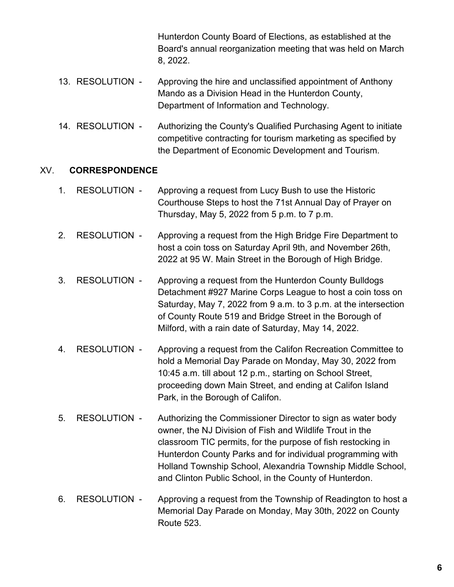Hunterdon County Board of Elections, as established at the Board's annual reorganization meeting that was held on March 8, 2022.

- 13. RESOLUTION Approving the hire and unclassified appointment of Anthony Mando as a Division Head in the Hunterdon County, Department of Information and Technology.
- 14. RESOLUTION Authorizing the County's Qualified Purchasing Agent to initiate competitive contracting for tourism marketing as specified by the Department of Economic Development and Tourism.

#### XV. **CORRESPONDENCE**

- 1. RESOLUTION Approving a request from Lucy Bush to use the Historic Courthouse Steps to host the 71st Annual Day of Prayer on Thursday, May 5, 2022 from 5 p.m. to 7 p.m.
- 2. RESOLUTION Approving a request from the High Bridge Fire Department to host a coin toss on Saturday April 9th, and November 26th, 2022 at 95 W. Main Street in the Borough of High Bridge.
- 3. RESOLUTION Approving a request from the Hunterdon County Bulldogs Detachment #927 Marine Corps League to host a coin toss on Saturday, May 7, 2022 from 9 a.m. to 3 p.m. at the intersection of County Route 519 and Bridge Street in the Borough of Milford, with a rain date of Saturday, May 14, 2022.
- 4. RESOLUTION Approving a request from the Califon Recreation Committee to hold a Memorial Day Parade on Monday, May 30, 2022 from 10:45 a.m. till about 12 p.m., starting on School Street, proceeding down Main Street, and ending at Califon Island Park, in the Borough of Califon.
- 5. RESOLUTION Authorizing the Commissioner Director to sign as water body owner, the NJ Division of Fish and Wildlife Trout in the classroom TIC permits, for the purpose of fish restocking in Hunterdon County Parks and for individual programming with Holland Township School, Alexandria Township Middle School, and Clinton Public School, in the County of Hunterdon.
- 6. RESOLUTION Approving a request from the Township of Readington to host a Memorial Day Parade on Monday, May 30th, 2022 on County Route 523.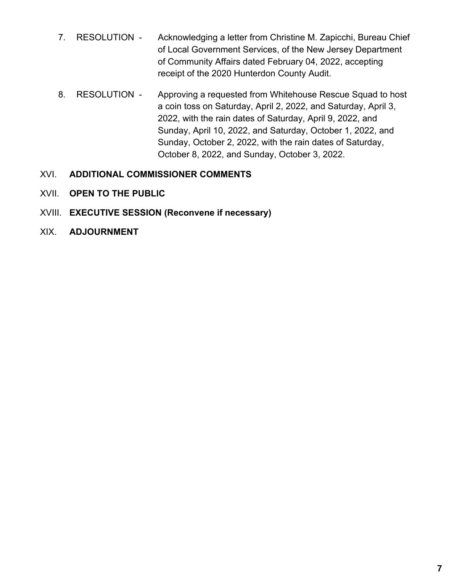- 7. RESOLUTION Acknowledging a letter from Christine M. Zapicchi, Bureau Chief of Local Government Services, of the New Jersey Department of Community Affairs dated February 04, 2022, accepting receipt of the 2020 Hunterdon County Audit.
- 8. RESOLUTION Approving a requested from Whitehouse Rescue Squad to host a coin toss on Saturday, April 2, 2022, and Saturday, April 3, 2022, with the rain dates of Saturday, April 9, 2022, and Sunday, April 10, 2022, and Saturday, October 1, 2022, and Sunday, October 2, 2022, with the rain dates of Saturday, October 8, 2022, and Sunday, October 3, 2022.

### XVI. **ADDITIONAL COMMISSIONER COMMENTS**

- XVII. **OPEN TO THE PUBLIC**
- XVIII. **EXECUTIVE SESSION (Reconvene if necessary)**
- XIX. **ADJOURNMENT**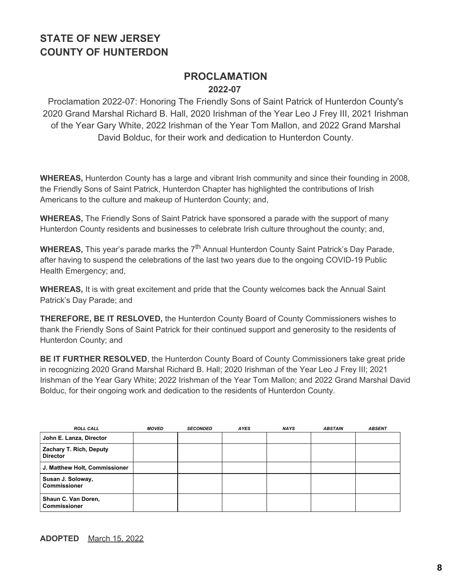### **PROCLAMATION 2022-07**

Proclamation 2022-07: Honoring The Friendly Sons of Saint Patrick of Hunterdon County's 2020 Grand Marshal Richard B. Hall, 2020 Irishman of the Year Leo J Frey III, 2021 Irishman of the Year Gary White, 2022 Irishman of the Year Tom Mallon, and 2022 Grand Marshal David Bolduc, for their work and dedication to Hunterdon County.

**WHEREAS,** Hunterdon County has a large and vibrant Irish community and since their founding in 2008, the Friendly Sons of Saint Patrick, Hunterdon Chapter has highlighted the contributions of Irish Americans to the culture and makeup of Hunterdon County; and,

**WHEREAS,** The Friendly Sons of Saint Patrick have sponsored a parade with the support of many Hunterdon County residents and businesses to celebrate Irish culture throughout the county; and,

**WHEREAS,** This year's parade marks the 7<sup>th</sup> Annual Hunterdon County Saint Patrick's Day Parade, after having to suspend the celebrations of the last two years due to the ongoing COVID-19 Public Health Emergency; and,

**WHEREAS,** It is with great excitement and pride that the County welcomes back the Annual Saint Patrick's Day Parade; and

**THEREFORE, BE IT RESLOVED,** the Hunterdon County Board of County Commissioners wishes to thank the Friendly Sons of Saint Patrick for their continued support and generosity to the residents of Hunterdon County; and

**BE IT FURTHER RESOLVED**, the Hunterdon County Board of County Commissioners take great pride in recognizing 2020 Grand Marshal Richard B. Hall; 2020 Irishman of the Year Leo J Frey III; 2021 Irishman of the Year Gary White; 2022 Irishman of the Year Tom Mallon; and 2022 Grand Marshal David Bolduc, for their ongoing work and dedication to the residents of Hunterdon County.

| <b>ROLL CALL</b>                           | <b>MOVED</b> | <b>SECONDED</b> | <b>AYES</b> | <b>NAYS</b> | <b>ABSTAIN</b> | <b>ABSENT</b> |
|--------------------------------------------|--------------|-----------------|-------------|-------------|----------------|---------------|
| John E. Lanza, Director                    |              |                 |             |             |                |               |
| Zachary T. Rich, Deputy<br><b>Director</b> |              |                 |             |             |                |               |
| J. Matthew Holt, Commissioner              |              |                 |             |             |                |               |
| Susan J. Soloway,<br><b>Commissioner</b>   |              |                 |             |             |                |               |
| Shaun C. Van Doren,<br><b>Commissioner</b> |              |                 |             |             |                |               |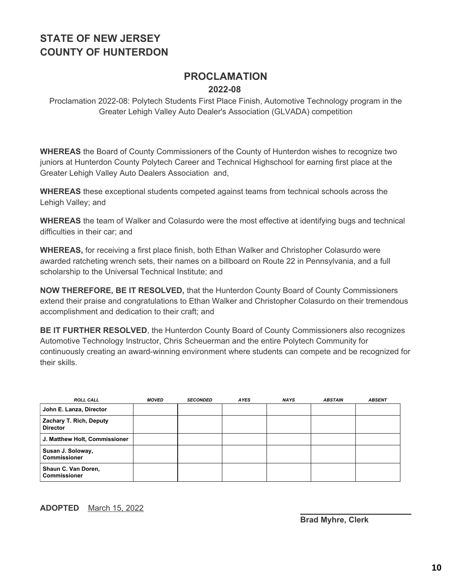### **PROCLAMATION 2022-08**

Proclamation 2022-08: Polytech Students First Place Finish, Automotive Technology program in the Greater Lehigh Valley Auto Dealer's Association (GLVADA) competition

**WHEREAS** the Board of County Commissioners of the County of Hunterdon wishes to recognize two juniors at Hunterdon County Polytech Career and Technical Highschool for earning first place at the Greater Lehigh Valley Auto Dealers Association and,

**WHEREAS** these exceptional students competed against teams from technical schools across the Lehigh Valley; and

**WHEREAS** the team of Walker and Colasurdo were the most effective at identifying bugs and technical difficulties in their car; and

**WHEREAS,** for receiving a first place finish, both Ethan Walker and Christopher Colasurdo were awarded ratcheting wrench sets, their names on a billboard on Route 22 in Pennsylvania, and a full scholarship to the Universal Technical Institute; and

**NOW THEREFORE, BE IT RESOLVED,** that the Hunterdon County Board of County Commissioners extend their praise and congratulations to Ethan Walker and Christopher Colasurdo on their tremendous accomplishment and dedication to their craft; and

**BE IT FURTHER RESOLVED**, the Hunterdon County Board of County Commissioners also recognizes Automotive Technology Instructor, Chris Scheuerman and the entire Polytech Community for continuously creating an award-winning environment where students can compete and be recognized for their skills.

| <b>ROLL CALL</b>                           | <b>MOVED</b> | <b>SECONDED</b> | <b>AYES</b> | <b>NAYS</b> | <b>ABSTAIN</b> | <b>ABSENT</b> |
|--------------------------------------------|--------------|-----------------|-------------|-------------|----------------|---------------|
| John E. Lanza, Director                    |              |                 |             |             |                |               |
| Zachary T. Rich, Deputy<br><b>Director</b> |              |                 |             |             |                |               |
| J. Matthew Holt, Commissioner              |              |                 |             |             |                |               |
| Susan J. Soloway,<br><b>Commissioner</b>   |              |                 |             |             |                |               |
| Shaun C. Van Doren,<br><b>Commissioner</b> |              |                 |             |             |                |               |

#### **ADOPTED** March 15, 2022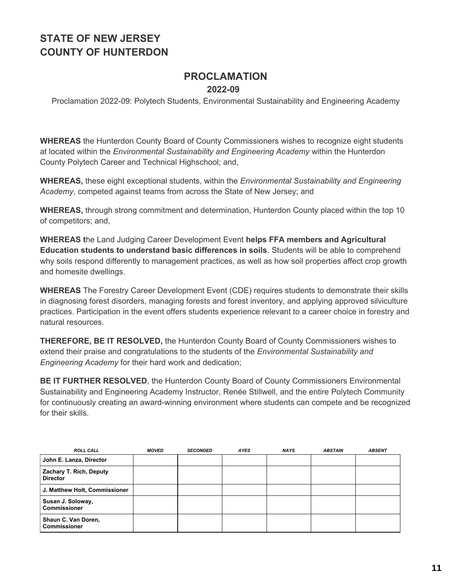### **PROCLAMATION 2022-09**

Proclamation 2022-09: Polytech Students, Environmental Sustainability and Engineering Academy

**WHEREAS** the Hunterdon County Board of County Commissioners wishes to recognize eight students at located within the *Environmental Sustainability and Engineering Academy* within the Hunterdon County Polytech Career and Technical Highschool; and,

**WHEREAS,** these eight exceptional students, within the *Environmental Sustainability and Engineering Academy*, competed against teams from across the State of New Jersey; and

**WHEREAS,** through strong commitment and determination, Hunterdon County placed within the top 10 of competitors; and,

**WHEREAS t**he Land Judging Career Development Event **helps FFA members and Agricultural Education students to understand basic differences in soils**. Students will be able to comprehend why soils respond differently to management practices, as well as how soil properties affect crop growth and homesite dwellings.

**WHEREAS** The Forestry Career Development Event (CDE) requires students to demonstrate their skills in diagnosing forest disorders, managing forests and forest inventory, and applying approved silviculture practices. Participation in the event offers students experience relevant to a career choice in forestry and natural resources.

**THEREFORE, BE IT RESOLVED,** the Hunterdon County Board of County Commissioners wishes to extend their praise and congratulations to the students of the *Environmental Sustainability and Engineering Academy* for their hard work and dedication;

**BE IT FURTHER RESOLVED**, the Hunterdon County Board of County Commissioners Environmental Sustainability and Engineering Academy Instructor, Renée Stillwell, and the entire Polytech Community for continuously creating an award-winning environment where students can compete and be recognized for their skills.

| <b>ROLL CALL</b>                           | MOVED | <b>SECONDED</b> | <b>AYES</b> | <b>NAYS</b> | <b>ABSTAIN</b> | <b>ABSENT</b> |
|--------------------------------------------|-------|-----------------|-------------|-------------|----------------|---------------|
| John E. Lanza, Director                    |       |                 |             |             |                |               |
| Zachary T. Rich, Deputy<br><b>Director</b> |       |                 |             |             |                |               |
| J. Matthew Holt, Commissioner              |       |                 |             |             |                |               |
| Susan J. Soloway,<br><b>Commissioner</b>   |       |                 |             |             |                |               |
| Shaun C. Van Doren,<br><b>Commissioner</b> |       |                 |             |             |                |               |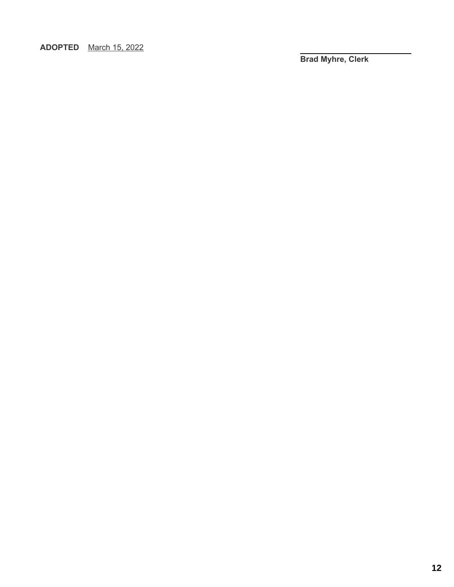**ADOPTED** March 15, 2022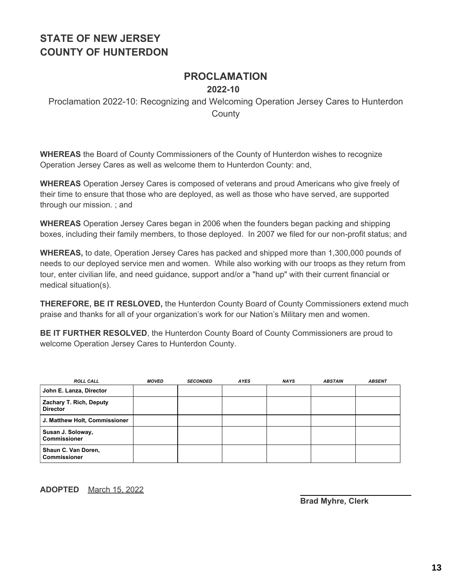#### **PROCLAMATION 2022-10**

Proclamation 2022-10: Recognizing and Welcoming Operation Jersey Cares to Hunterdon **County** 

**WHEREAS** the Board of County Commissioners of the County of Hunterdon wishes to recognize Operation Jersey Cares as well as welcome them to Hunterdon County: and,

**WHEREAS** Operation Jersey Cares is composed of veterans and proud Americans who give freely of their time to ensure that those who are deployed, as well as those who have served, are supported through our mission. ; and

**WHEREAS** Operation Jersey Cares began in 2006 when the founders began packing and shipping boxes, including their family members, to those deployed. In 2007 we filed for our non-profit status; and

**WHEREAS,** to date, Operation Jersey Cares has packed and shipped more than 1,300,000 pounds of needs to our deployed service men and women. While also working with our troops as they return from tour, enter civilian life, and need guidance, support and/or a "hand up" with their current financial or medical situation(s).

**THEREFORE, BE IT RESLOVED,** the Hunterdon County Board of County Commissioners extend much praise and thanks for all of your organization's work for our Nation's Military men and women.

**BE IT FURTHER RESOLVED**, the Hunterdon County Board of County Commissioners are proud to welcome Operation Jersey Cares to Hunterdon County.

| <b>ROLL CALL</b>                           | <b>MOVED</b> | <b>SECONDED</b> | <b>AYES</b> | <b>NAYS</b> | <b>ABSTAIN</b> | <b>ABSENT</b> |
|--------------------------------------------|--------------|-----------------|-------------|-------------|----------------|---------------|
| John E. Lanza, Director                    |              |                 |             |             |                |               |
| Zachary T. Rich, Deputy<br><b>Director</b> |              |                 |             |             |                |               |
| J. Matthew Holt, Commissioner              |              |                 |             |             |                |               |
| Susan J. Soloway,<br><b>Commissioner</b>   |              |                 |             |             |                |               |
| Shaun C. Van Doren,<br><b>Commissioner</b> |              |                 |             |             |                |               |

**ADOPTED** March 15, 2022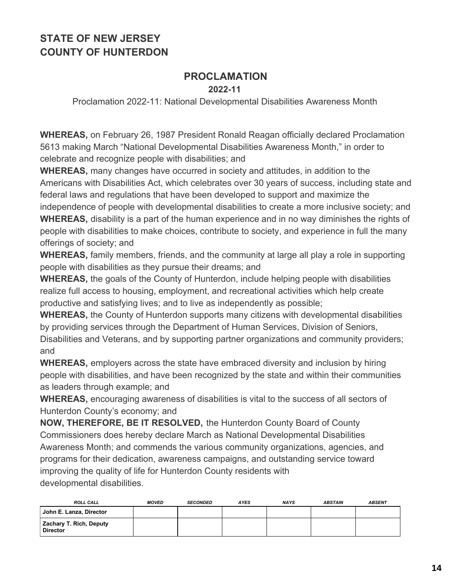# **PROCLAMATION**

#### **2022-11**

Proclamation 2022-11: National Developmental Disabilities Awareness Month

**WHEREAS,** on February 26, 1987 President Ronald Reagan officially declared Proclamation 5613 making March "National Developmental Disabilities Awareness Month," in order to celebrate and recognize people with disabilities; and

**WHEREAS,** many changes have occurred in society and attitudes, in addition to the Americans with Disabilities Act, which celebrates over 30 years of success, including state and federal laws and regulations that have been developed to support and maximize the independence of people with developmental disabilities to create a more inclusive society; and

**WHEREAS,** disability is a part of the human experience and in no way diminishes the rights of people with disabilities to make choices, contribute to society, and experience in full the many offerings of society; and

**WHEREAS,** family members, friends, and the community at large all play a role in supporting people with disabilities as they pursue their dreams; and

**WHEREAS,** the goals of the County of Hunterdon, include helping people with disabilities realize full access to housing, employment, and recreational activities which help create productive and satisfying lives; and to live as independently as possible;

**WHEREAS,** the County of Hunterdon supports many citizens with developmental disabilities by providing services through the Department of Human Services, Division of Seniors, Disabilities and Veterans, and by supporting partner organizations and community providers; and

**WHEREAS,** employers across the state have embraced diversity and inclusion by hiring people with disabilities, and have been recognized by the state and within their communities as leaders through example; and

**WHEREAS,** encouraging awareness of disabilities is vital to the success of all sectors of Hunterdon County's economy; and

**NOW, THEREFORE, BE IT RESOLVED,** the Hunterdon County Board of County Commissioners does hereby declare March as National Developmental Disabilities Awareness Month; and commends the various community organizations, agencies, and programs for their dedication, awareness campaigns, and outstanding service toward improving the quality of life for Hunterdon County residents with developmental disabilities.

| <b>ROLL CALL</b>                           | <b>MOVED</b> | <b>SECONDED</b> | <b>AYES</b> | <b>NAYS</b> | <b>ABSTAIN</b> | <b>ABSENT</b> |
|--------------------------------------------|--------------|-----------------|-------------|-------------|----------------|---------------|
| John E. Lanza, Director                    |              |                 |             |             |                |               |
| Zachary T. Rich, Deputy<br><b>Director</b> |              |                 |             |             |                |               |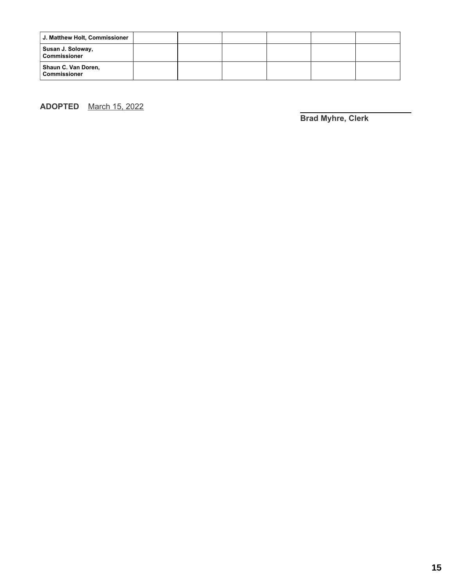| J. Matthew Holt, Commissioner              |  |  |  |
|--------------------------------------------|--|--|--|
| Susan J. Soloway,<br><b>Commissioner</b>   |  |  |  |
| Shaun C. Van Doren,<br><b>Commissioner</b> |  |  |  |

**ADOPTED** March 15, 2022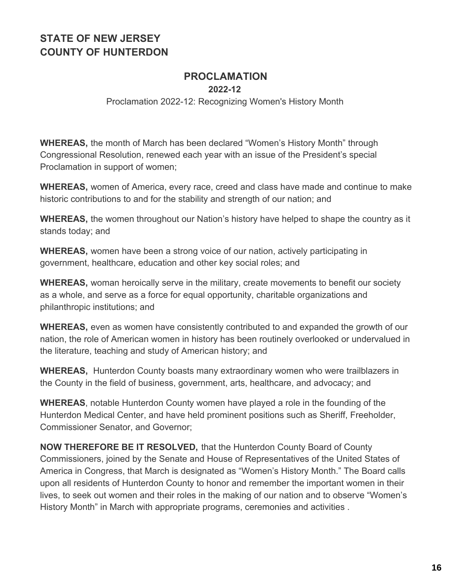# **PROCLAMATION**

**2022-12**

#### Proclamation 2022-12: Recognizing Women's History Month

**WHEREAS,** the month of March has been declared "Women's History Month" through Congressional Resolution, renewed each year with an issue of the President's special Proclamation in support of women;

**WHEREAS,** women of America, every race, creed and class have made and continue to make historic contributions to and for the stability and strength of our nation; and

**WHEREAS,** the women throughout our Nation's history have helped to shape the country as it stands today; and

**WHEREAS,** women have been a strong voice of our nation, actively participating in government, healthcare, education and other key social roles; and

**WHEREAS,** woman heroically serve in the military, create movements to benefit our society as a whole, and serve as a force for equal opportunity, charitable organizations and philanthropic institutions; and

**WHEREAS,** even as women have consistently contributed to and expanded the growth of our nation, the role of American women in history has been routinely overlooked or undervalued in the literature, teaching and study of American history; and

**WHEREAS,** Hunterdon County boasts many extraordinary women who were trailblazers in the County in the field of business, government, arts, healthcare, and advocacy; and

**WHEREAS**, notable Hunterdon County women have played a role in the founding of the Hunterdon Medical Center, and have held prominent positions such as Sheriff, Freeholder, Commissioner Senator, and Governor;

**NOW THEREFORE BE IT RESOLVED,** that the Hunterdon County Board of County Commissioners, joined by the Senate and House of Representatives of the United States of America in Congress, that March is designated as "Women's History Month." The Board calls upon all residents of Hunterdon County to honor and remember the important women in their lives, to seek out women and their roles in the making of our nation and to observe "Women's History Month" in March with appropriate programs, ceremonies and activities .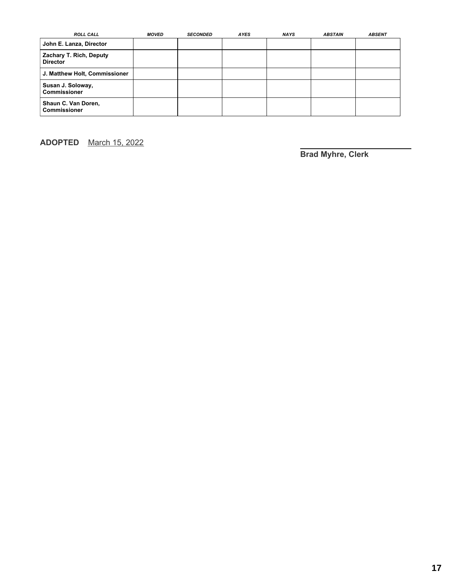| <b>ROLL CALL</b>                           | <b>MOVED</b> | <b>SECONDED</b> | <b>AYES</b> | <b>NAYS</b> | <b>ABSTAIN</b> | <b>ABSENT</b> |
|--------------------------------------------|--------------|-----------------|-------------|-------------|----------------|---------------|
| John E. Lanza, Director                    |              |                 |             |             |                |               |
| Zachary T. Rich, Deputy<br><b>Director</b> |              |                 |             |             |                |               |
| J. Matthew Holt, Commissioner              |              |                 |             |             |                |               |
| Susan J. Soloway,<br><b>Commissioner</b>   |              |                 |             |             |                |               |
| Shaun C. Van Doren,<br><b>Commissioner</b> |              |                 |             |             |                |               |

**ADOPTED** March 15, 2022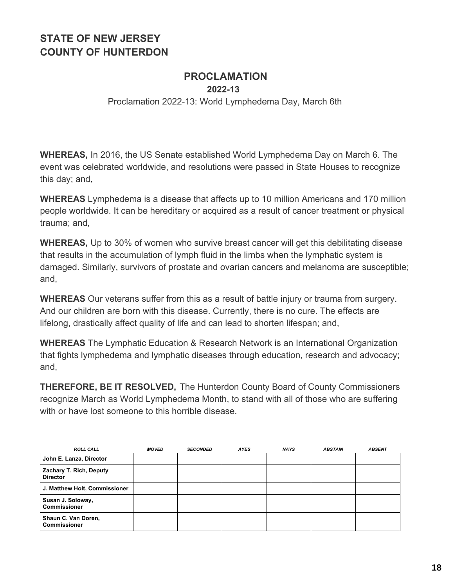### **PROCLAMATION**

**2022-13**

Proclamation 2022-13: World Lymphedema Day, March 6th

**WHEREAS,** In 2016, the US Senate established World Lymphedema Day on March 6. The event was celebrated worldwide, and resolutions were passed in State Houses to recognize this day; and,

**WHEREAS** Lymphedema is a disease that affects up to 10 million Americans and 170 million people worldwide. It can be hereditary or acquired as a result of cancer treatment or physical trauma; and,

**WHEREAS,** Up to 30% of women who survive breast cancer will get this debilitating disease that results in the accumulation of lymph fluid in the limbs when the lymphatic system is damaged. Similarly, survivors of prostate and ovarian cancers and melanoma are susceptible; and,

**WHEREAS** Our veterans suffer from this as a result of battle injury or trauma from surgery. And our children are born with this disease. Currently, there is no cure. The effects are lifelong, drastically affect quality of life and can lead to shorten lifespan; and,

**WHEREAS** The Lymphatic Education & Research Network is an International Organization that fights lymphedema and lymphatic diseases through education, research and advocacy; and,

**THEREFORE, BE IT RESOLVED,** The Hunterdon County Board of County Commissioners recognize March as World Lymphedema Month, to stand with all of those who are suffering with or have lost someone to this horrible disease.

| <b>ROLL CALL</b>                                  | <b>MOVED</b> | <b>SECONDED</b> | <b>AYES</b> | <b>NAYS</b> | <b>ABSTAIN</b> | <b>ABSENT</b> |
|---------------------------------------------------|--------------|-----------------|-------------|-------------|----------------|---------------|
| John E. Lanza, Director                           |              |                 |             |             |                |               |
| <b>Zachary T. Rich, Deputy</b><br><b>Director</b> |              |                 |             |             |                |               |
| J. Matthew Holt, Commissioner                     |              |                 |             |             |                |               |
| Susan J. Soloway,<br>l Commissioner               |              |                 |             |             |                |               |
| Shaun C. Van Doren,<br>l Commissioner             |              |                 |             |             |                |               |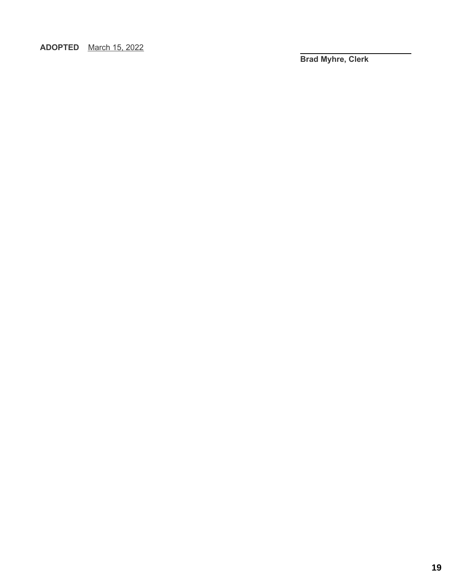**ADOPTED** March 15, 2022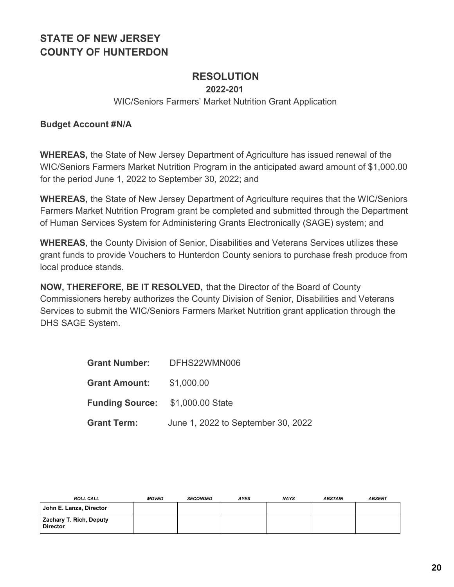### **RESOLUTION**

**2022-201**

#### WIC/Seniors Farmers' Market Nutrition Grant Application

#### **Budget Account #N/A**

**WHEREAS,** the State of New Jersey Department of Agriculture has issued renewal of the WIC/Seniors Farmers Market Nutrition Program in the anticipated award amount of \$1,000.00 for the period June 1, 2022 to September 30, 2022; and

**WHEREAS,** the State of New Jersey Department of Agriculture requires that the WIC/Seniors Farmers Market Nutrition Program grant be completed and submitted through the Department of Human Services System for Administering Grants Electronically (SAGE) system; and

**WHEREAS**, the County Division of Senior, Disabilities and Veterans Services utilizes these grant funds to provide Vouchers to Hunterdon County seniors to purchase fresh produce from local produce stands.

**NOW, THEREFORE, BE IT RESOLVED,** that the Director of the Board of County Commissioners hereby authorizes the County Division of Senior, Disabilities and Veterans Services to submit the WIC/Seniors Farmers Market Nutrition grant application through the DHS SAGE System.

|                                         | Grant Number: DFHS22WMN006         |
|-----------------------------------------|------------------------------------|
| Grant Amount: \$1,000.00                |                                    |
| <b>Funding Source: \$1,000.00 State</b> |                                    |
| <b>Grant Term:</b>                      | June 1, 2022 to September 30, 2022 |

| <b>ROLL CALL</b>                                  | <b>MOVED</b> | <b>SECONDED</b> | <b>AYES</b> | <b>NAYS</b> | <b>ABSTAIN</b> | <b>ABSENT</b> |
|---------------------------------------------------|--------------|-----------------|-------------|-------------|----------------|---------------|
| John E. Lanza, Director                           |              |                 |             |             |                |               |
| <b>Zachary T. Rich, Deputy</b><br><b>Director</b> |              |                 |             |             |                |               |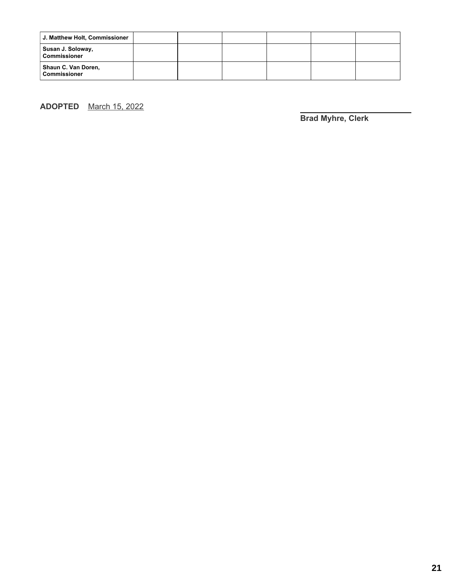| J. Matthew Holt, Commissioner              |  |  |  |
|--------------------------------------------|--|--|--|
| Susan J. Soloway,<br><b>Commissioner</b>   |  |  |  |
| Shaun C. Van Doren,<br><b>Commissioner</b> |  |  |  |

**ADOPTED** March 15, 2022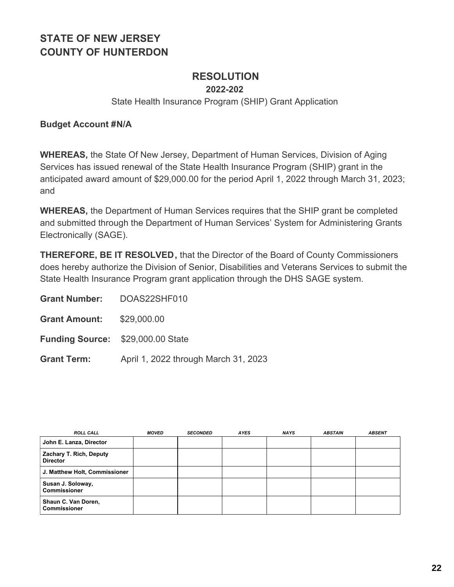# **RESOLUTION**

**2022-202**

State Health Insurance Program (SHIP) Grant Application

#### **Budget Account #N/A**

**WHEREAS,** the State Of New Jersey, Department of Human Services, Division of Aging Services has issued renewal of the State Health Insurance Program (SHIP) grant in the anticipated award amount of \$29,000.00 for the period April 1, 2022 through March 31, 2023; and

**WHEREAS,** the Department of Human Services requires that the SHIP grant be completed and submitted through the Department of Human Services' System for Administering Grants Electronically (SAGE).

**THEREFORE, BE IT RESOLVED,** that the Director of the Board of County Commissioners does hereby authorize the Division of Senior, Disabilities and Veterans Services to submit the State Health Insurance Program grant application through the DHS SAGE system.

| <b>Grant Number:</b> | DOAS22SHF010 |
|----------------------|--------------|
|                      |              |

**Grant Amount:** \$29,000.00

**Funding Source:** \$29,000.00 State

**Grant Term:** April 1, 2022 through March 31, 2023

| <b>ROLL CALL</b>                           | <b>MOVED</b> | <b>SECONDED</b> | <b>AYES</b> | <b>NAYS</b> | <b>ABSTAIN</b> | <b>ABSENT</b> |
|--------------------------------------------|--------------|-----------------|-------------|-------------|----------------|---------------|
| John E. Lanza, Director                    |              |                 |             |             |                |               |
| Zachary T. Rich, Deputy<br><b>Director</b> |              |                 |             |             |                |               |
| J. Matthew Holt, Commissioner              |              |                 |             |             |                |               |
| Susan J. Soloway,<br><b>Commissioner</b>   |              |                 |             |             |                |               |
| Shaun C. Van Doren,<br><b>Commissioner</b> |              |                 |             |             |                |               |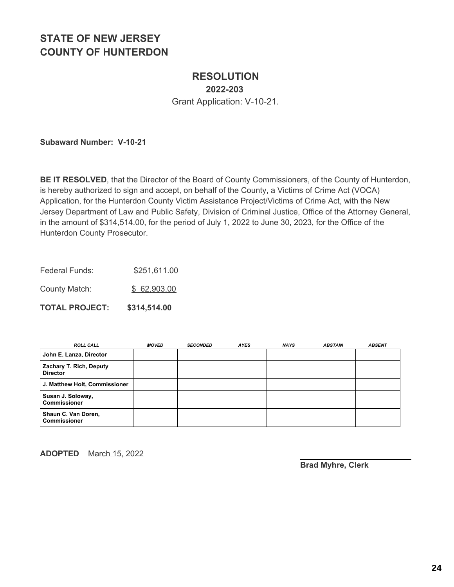### **RESOLUTION 2022-203**

Grant Application: V-10-21.

**Subaward Number: V-10-21**

**BE IT RESOLVED**, that the Director of the Board of County Commissioners, of the County of Hunterdon, is hereby authorized to sign and accept, on behalf of the County, a Victims of Crime Act (VOCA) Application, for the Hunterdon County Victim Assistance Project/Victims of Crime Act, with the New Jersey Department of Law and Public Safety, Division of Criminal Justice, Office of the Attorney General, in the amount of \$314,514.00, for the period of July 1, 2022 to June 30, 2023, for the Office of the Hunterdon County Prosecutor.

Federal Funds: \$251,611.00

County Match: \$ 62,903.00

**TOTAL PROJECT: \$314,514.00**

| <b>ROLL CALL</b>                           | <b>MOVED</b> | <b>SECONDED</b> | <b>AYES</b> | <b>NAYS</b> | <b>ABSTAIN</b> | <b>ABSENT</b> |
|--------------------------------------------|--------------|-----------------|-------------|-------------|----------------|---------------|
| John E. Lanza, Director                    |              |                 |             |             |                |               |
| Zachary T. Rich, Deputy<br><b>Director</b> |              |                 |             |             |                |               |
| J. Matthew Holt, Commissioner              |              |                 |             |             |                |               |
| Susan J. Soloway,<br><b>Commissioner</b>   |              |                 |             |             |                |               |
| Shaun C. Van Doren,<br><b>Commissioner</b> |              |                 |             |             |                |               |

**ADOPTED** March 15, 2022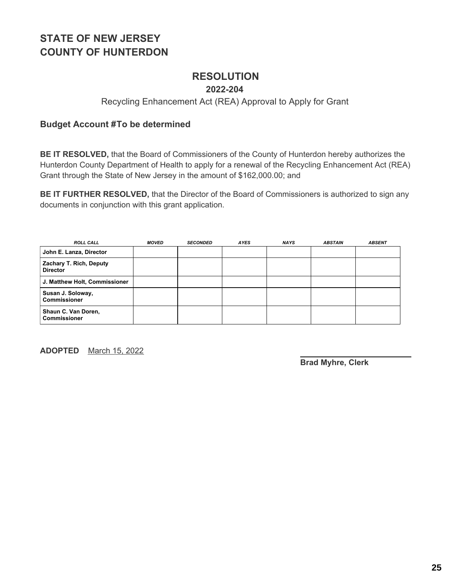### **RESOLUTION**

#### **2022-204**

#### Recycling Enhancement Act (REA) Approval to Apply for Grant

#### **Budget Account #To be determined**

**BE IT RESOLVED,** that the Board of Commissioners of the County of Hunterdon hereby authorizes the Hunterdon County Department of Health to apply for a renewal of the Recycling Enhancement Act (REA) Grant through the State of New Jersey in the amount of \$162,000.00; and

**BE IT FURTHER RESOLVED,** that the Director of the Board of Commissioners is authorized to sign any documents in conjunction with this grant application.

| <b>ROLL CALL</b>                                  | <b>MOVED</b> | <b>SECONDED</b> | <b>AYES</b> | <b>NAYS</b> | <b>ABSTAIN</b> | <b>ABSENT</b> |
|---------------------------------------------------|--------------|-----------------|-------------|-------------|----------------|---------------|
| John E. Lanza, Director                           |              |                 |             |             |                |               |
| <b>Zachary T. Rich, Deputy</b><br><b>Director</b> |              |                 |             |             |                |               |
| J. Matthew Holt, Commissioner                     |              |                 |             |             |                |               |
| Susan J. Soloway,<br><b>Commissioner</b>          |              |                 |             |             |                |               |
| Shaun C. Van Doren,<br>l Commissioner             |              |                 |             |             |                |               |

**ADOPTED** March 15, 2022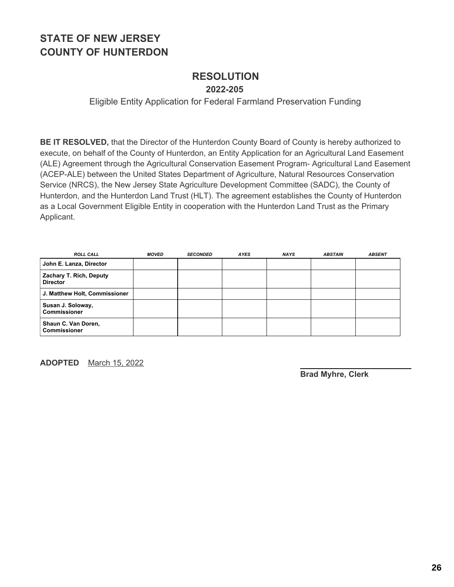#### **RESOLUTION 2022-205**

#### Eligible Entity Application for Federal Farmland Preservation Funding

**BE IT RESOLVED,** that the Director of the Hunterdon County Board of County is hereby authorized to execute, on behalf of the County of Hunterdon, an Entity Application for an Agricultural Land Easement (ALE) Agreement through the Agricultural Conservation Easement Program- Agricultural Land Easement (ACEP-ALE) between the United States Department of Agriculture, Natural Resources Conservation Service (NRCS), the New Jersey State Agriculture Development Committee (SADC), the County of Hunterdon, and the Hunterdon Land Trust (HLT). The agreement establishes the County of Hunterdon as a Local Government Eligible Entity in cooperation with the Hunterdon Land Trust as the Primary Applicant.

| <b>ROLL CALL</b>                           | <b>MOVED</b> | <b>SECONDED</b> | <b>AYES</b> | <b>NAYS</b> | <b>ABSTAIN</b> | <b>ABSENT</b> |
|--------------------------------------------|--------------|-----------------|-------------|-------------|----------------|---------------|
| John E. Lanza, Director                    |              |                 |             |             |                |               |
| Zachary T. Rich, Deputy<br><b>Director</b> |              |                 |             |             |                |               |
| J. Matthew Holt, Commissioner              |              |                 |             |             |                |               |
| Susan J. Soloway,<br><b>Commissioner</b>   |              |                 |             |             |                |               |
| Shaun C. Van Doren,<br><b>Commissioner</b> |              |                 |             |             |                |               |

**ADOPTED** March 15, 2022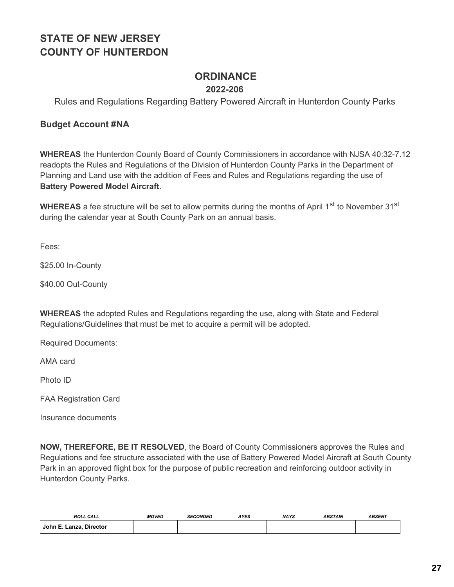### **ORDINANCE**

#### **2022-206**

Rules and Regulations Regarding Battery Powered Aircraft in Hunterdon County Parks

#### **Budget Account #NA**

**WHEREAS** the Hunterdon County Board of County Commissioners in accordance with NJSA 40:32-7.12 readopts the Rules and Regulations of the Division of Hunterdon County Parks in the Department of Planning and Land use with the addition of Fees and Rules and Regulations regarding the use of **Battery Powered Model Aircraft**.

WHEREAS a fee structure will be set to allow permits during the months of April 1<sup>st</sup> to November 31<sup>st</sup> during the calendar year at South County Park on an annual basis.

Fees:

\$25.00 In-County

\$40.00 Out-County

**WHEREAS** the adopted Rules and Regulations regarding the use, along with State and Federal Regulations/Guidelines that must be met to acquire a permit will be adopted.

Required Documents:

AMA card

Photo ID

FAA Registration Card

Insurance documents

**NOW, THEREFORE, BE IT RESOLVED**, the Board of County Commissioners approves the Rules and Regulations and fee structure associated with the use of Battery Powered Model Aircraft at South County Park in an approved flight box for the purpose of public recreation and reinforcing outdoor activity in Hunterdon County Parks.

| <b>ROLL CALL</b>        | <b>MOVED</b> | <b>SECONDED</b> | <b>IYES</b> | <b>NAYS</b> | <b>ABSTAIN</b> | <b>ABSENT</b> |
|-------------------------|--------------|-----------------|-------------|-------------|----------------|---------------|
| John E. Lanza, Director |              |                 |             |             |                |               |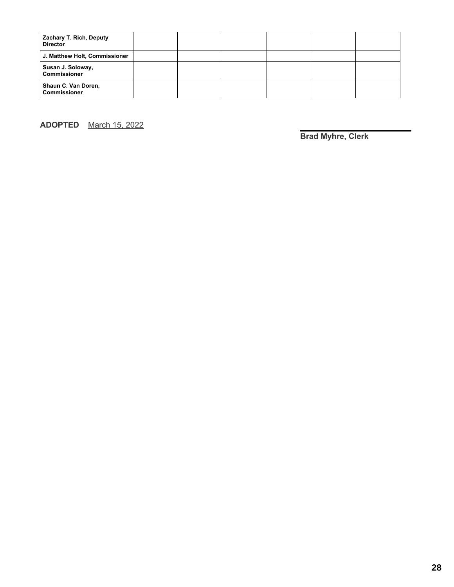| Zachary T. Rich, Deputy<br><b>Director</b> |  |  |  |
|--------------------------------------------|--|--|--|
| J. Matthew Holt, Commissioner              |  |  |  |
| Susan J. Soloway,<br><b>Commissioner</b>   |  |  |  |
| Shaun C. Van Doren,<br><b>Commissioner</b> |  |  |  |

**ADOPTED** March 15, 2022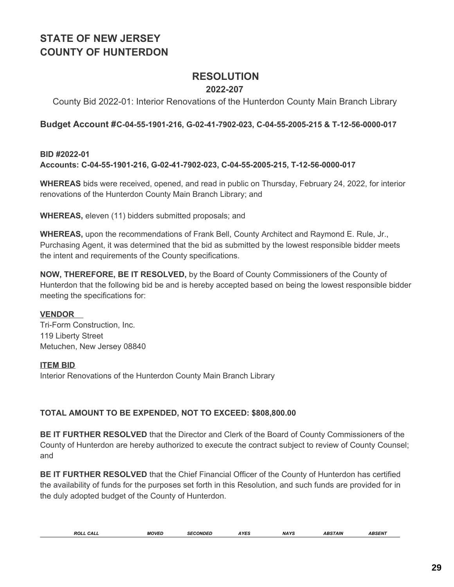### **RESOLUTION**

#### **2022-207**

#### County Bid 2022-01: Interior Renovations of the Hunterdon County Main Branch Library

#### **Budget Account #C-04-55-1901-216, G-02-41-7902-023, C-04-55-2005-215 & T-12-56-0000-017**

#### **BID #2022-01 Accounts: C-04-55-1901-216, G-02-41-7902-023, C-04-55-2005-215, T-12-56-0000-017**

**WHEREAS** bids were received, opened, and read in public on Thursday, February 24, 2022, for interior renovations of the Hunterdon County Main Branch Library; and

**WHEREAS,** eleven (11) bidders submitted proposals; and

**WHEREAS,** upon the recommendations of Frank Bell, County Architect and Raymond E. Rule, Jr., Purchasing Agent, it was determined that the bid as submitted by the lowest responsible bidder meets the intent and requirements of the County specifications.

**NOW, THEREFORE, BE IT RESOLVED,** by the Board of County Commissioners of the County of Hunterdon that the following bid be and is hereby accepted based on being the lowest responsible bidder meeting the specifications for:

#### **VENDOR**

Tri-Form Construction, Inc. 119 Liberty Street Metuchen, New Jersey 08840

#### **ITEM BID**

Interior Renovations of the Hunterdon County Main Branch Library

#### **TOTAL AMOUNT TO BE EXPENDED, NOT TO EXCEED: \$808,800.00**

**BE IT FURTHER RESOLVED** that the Director and Clerk of the Board of County Commissioners of the County of Hunterdon are hereby authorized to execute the contract subject to review of County Counsel; and

**BE IT FURTHER RESOLVED** that the Chief Financial Officer of the County of Hunterdon has certified the availability of funds for the purposes set forth in this Resolution, and such funds are provided for in the duly adopted budget of the County of Hunterdon.

| <b>MOVED</b><br><b>NAYS</b><br>ROLL<br><b>AYES</b><br><b>SECONDED</b><br>CALL | <b>ABSENT</b><br><b>ABSTAIN</b> |
|-------------------------------------------------------------------------------|---------------------------------|
|-------------------------------------------------------------------------------|---------------------------------|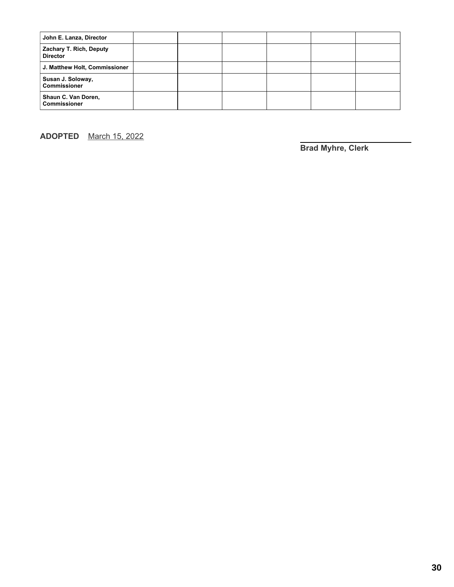| John E. Lanza, Director                           |  |  |  |
|---------------------------------------------------|--|--|--|
| <b>Zachary T. Rich, Deputy</b><br><b>Director</b> |  |  |  |
| J. Matthew Holt, Commissioner                     |  |  |  |
| Susan J. Soloway,<br><b>Commissioner</b>          |  |  |  |
| Shaun C. Van Doren,<br><b>Commissioner</b>        |  |  |  |

**ADOPTED** March 15, 2022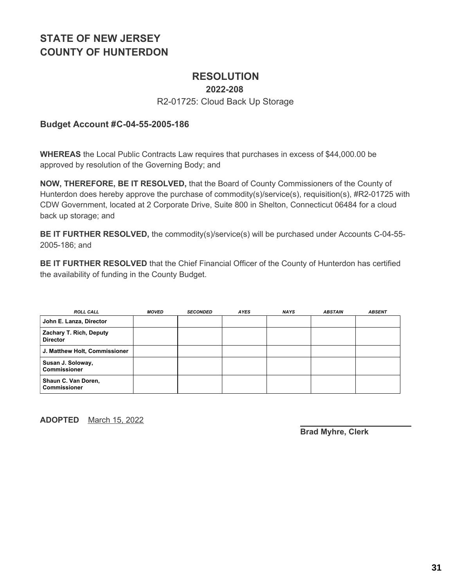### **RESOLUTION**

#### **2022-208**

#### R2-01725: Cloud Back Up Storage

#### **Budget Account #C-04-55-2005-186**

**WHEREAS** the Local Public Contracts Law requires that purchases in excess of \$44,000.00 be approved by resolution of the Governing Body; and

**NOW, THEREFORE, BE IT RESOLVED,** that the Board of County Commissioners of the County of Hunterdon does hereby approve the purchase of commodity(s)/service(s), requisition(s), #R2-01725 with CDW Government, located at 2 Corporate Drive, Suite 800 in Shelton, Connecticut 06484 for a cloud back up storage; and

**BE IT FURTHER RESOLVED,** the commodity(s)/service(s) will be purchased under Accounts C-04-55- 2005-186; and

**BE IT FURTHER RESOLVED** that the Chief Financial Officer of the County of Hunterdon has certified the availability of funding in the County Budget.

| <b>ROLL CALL</b>                           | <b>MOVED</b> | <b>SECONDED</b> | <b>AYES</b> | <b>NAYS</b> | <b>ABSTAIN</b> | <b>ABSENT</b> |
|--------------------------------------------|--------------|-----------------|-------------|-------------|----------------|---------------|
| John E. Lanza, Director                    |              |                 |             |             |                |               |
| Zachary T. Rich, Deputy<br><b>Director</b> |              |                 |             |             |                |               |
| J. Matthew Holt, Commissioner              |              |                 |             |             |                |               |
| Susan J. Soloway,<br><b>Commissioner</b>   |              |                 |             |             |                |               |
| Shaun C. Van Doren,<br><b>Commissioner</b> |              |                 |             |             |                |               |

**ADOPTED** March 15, 2022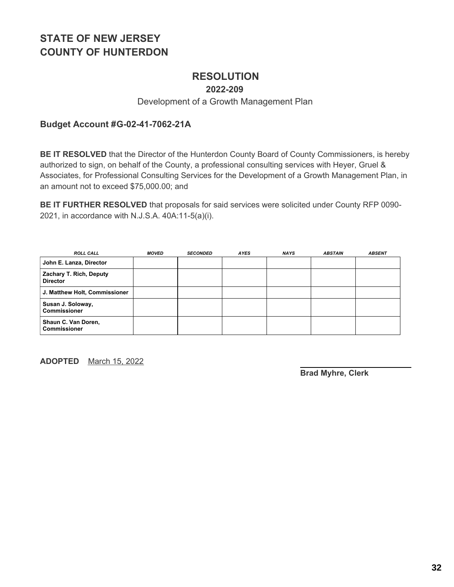### **RESOLUTION**

**2022-209**

#### Development of a Growth Management Plan

#### **Budget Account #G-02-41-7062-21A**

**BE IT RESOLVED** that the Director of the Hunterdon County Board of County Commissioners, is hereby authorized to sign, on behalf of the County, a professional consulting services with Heyer, Gruel & Associates, for Professional Consulting Services for the Development of a Growth Management Plan, in an amount not to exceed \$75,000.00; and

**BE IT FURTHER RESOLVED** that proposals for said services were solicited under County RFP 0090- 2021, in accordance with N.J.S.A. 40A:11-5(a)(i).

| <b>ROLL CALL</b>                           | <b>MOVED</b> | <b>SECONDED</b> | <b>AYES</b> | <b>NAYS</b> | <b>ABSTAIN</b> | <b>ABSENT</b> |
|--------------------------------------------|--------------|-----------------|-------------|-------------|----------------|---------------|
| John E. Lanza, Director                    |              |                 |             |             |                |               |
| Zachary T. Rich, Deputy<br><b>Director</b> |              |                 |             |             |                |               |
| J. Matthew Holt, Commissioner              |              |                 |             |             |                |               |
| Susan J. Soloway,<br><b>Commissioner</b>   |              |                 |             |             |                |               |
| Shaun C. Van Doren,<br><b>Commissioner</b> |              |                 |             |             |                |               |

**ADOPTED** March 15, 2022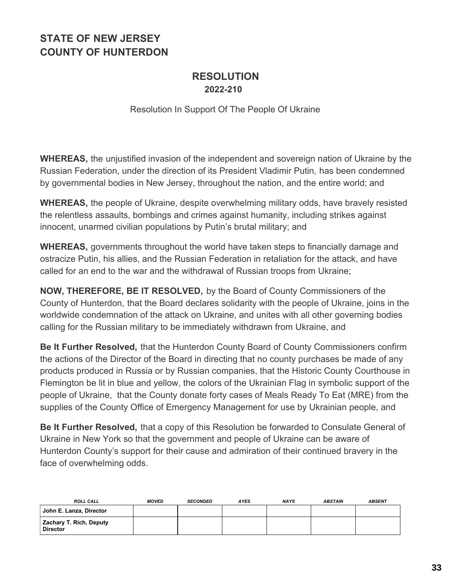### **RESOLUTION 2022-210**

Resolution In Support Of The People Of Ukraine

**WHEREAS,** the unjustified invasion of the independent and sovereign nation of Ukraine by the Russian Federation, under the direction of its President Vladimir Putin, has been condemned by governmental bodies in New Jersey, throughout the nation, and the entire world; and

**WHEREAS,** the people of Ukraine, despite overwhelming military odds, have bravely resisted the relentless assaults, bombings and crimes against humanity, including strikes against innocent, unarmed civilian populations by Putin's brutal military; and

**WHEREAS,** governments throughout the world have taken steps to financially damage and ostracize Putin, his allies, and the Russian Federation in retaliation for the attack, and have called for an end to the war and the withdrawal of Russian troops from Ukraine;

**NOW, THEREFORE, BE IT RESOLVED,** by the Board of County Commissioners of the County of Hunterdon, that the Board declares solidarity with the people of Ukraine, joins in the worldwide condemnation of the attack on Ukraine, and unites with all other governing bodies calling for the Russian military to be immediately withdrawn from Ukraine, and

**Be It Further Resolved,** that the Hunterdon County Board of County Commissioners confirm the actions of the Director of the Board in directing that no county purchases be made of any products produced in Russia or by Russian companies, that the Historic County Courthouse in Flemington be lit in blue and yellow, the colors of the Ukrainian Flag in symbolic support of the people of Ukraine, that the County donate forty cases of Meals Ready To Eat (MRE) from the supplies of the County Office of Emergency Management for use by Ukrainian people, and

**Be It Further Resolved,** that a copy of this Resolution be forwarded to Consulate General of Ukraine in New York so that the government and people of Ukraine can be aware of Hunterdon County's support for their cause and admiration of their continued bravery in the face of overwhelming odds.

| <b>ROLL CALL</b>                                  | <b>MOVED</b> | <b>SECONDED</b> | <b>AYES</b> | <b>NAYS</b> | <b>ABSTAIN</b> | <b>ABSENT</b> |
|---------------------------------------------------|--------------|-----------------|-------------|-------------|----------------|---------------|
| John E. Lanza, Director                           |              |                 |             |             |                |               |
| <b>Zachary T. Rich, Deputy</b><br><b>Director</b> |              |                 |             |             |                |               |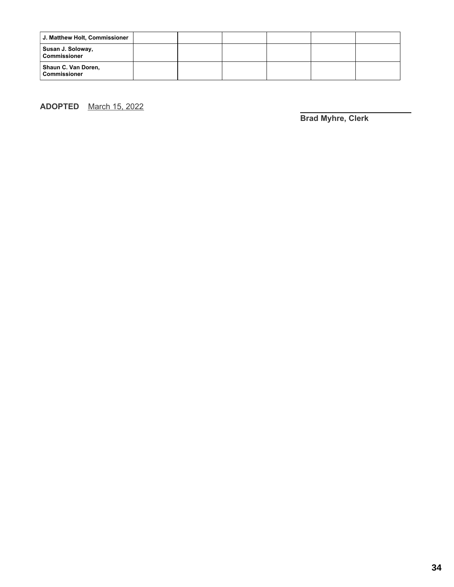| J. Matthew Holt, Commissioner              |  |  |  |
|--------------------------------------------|--|--|--|
| Susan J. Soloway,<br><b>Commissioner</b>   |  |  |  |
| Shaun C. Van Doren,<br><b>Commissioner</b> |  |  |  |

**ADOPTED** March 15, 2022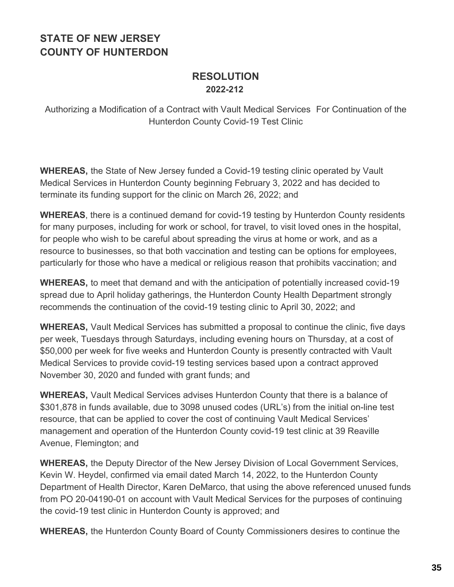### **RESOLUTION 2022-212**

Authorizing a Modification of a Contract with Vault Medical Services For Continuation of the Hunterdon County Covid-19 Test Clinic

**WHEREAS,** the State of New Jersey funded a Covid-19 testing clinic operated by Vault Medical Services in Hunterdon County beginning February 3, 2022 and has decided to terminate its funding support for the clinic on March 26, 2022; and

**WHEREAS**, there is a continued demand for covid-19 testing by Hunterdon County residents for many purposes, including for work or school, for travel, to visit loved ones in the hospital, for people who wish to be careful about spreading the virus at home or work, and as a resource to businesses, so that both vaccination and testing can be options for employees, particularly for those who have a medical or religious reason that prohibits vaccination; and

**WHEREAS,** to meet that demand and with the anticipation of potentially increased covid-19 spread due to April holiday gatherings, the Hunterdon County Health Department strongly recommends the continuation of the covid-19 testing clinic to April 30, 2022; and

**WHEREAS,** Vault Medical Services has submitted a proposal to continue the clinic, five days per week, Tuesdays through Saturdays, including evening hours on Thursday, at a cost of \$50,000 per week for five weeks and Hunterdon County is presently contracted with Vault Medical Services to provide covid-19 testing services based upon a contract approved November 30, 2020 and funded with grant funds; and

**WHEREAS,** Vault Medical Services advises Hunterdon County that there is a balance of \$301,878 in funds available, due to 3098 unused codes (URL's) from the initial on-line test resource, that can be applied to cover the cost of continuing Vault Medical Services' management and operation of the Hunterdon County covid-19 test clinic at 39 Reaville Avenue, Flemington; and

**WHEREAS,** the Deputy Director of the New Jersey Division of Local Government Services, Kevin W. Heydel, confirmed via email dated March 14, 2022, to the Hunterdon County Department of Health Director, Karen DeMarco, that using the above referenced unused funds from PO 20-04190-01 on account with Vault Medical Services for the purposes of continuing the covid-19 test clinic in Hunterdon County is approved; and

**WHEREAS,** the Hunterdon County Board of County Commissioners desires to continue the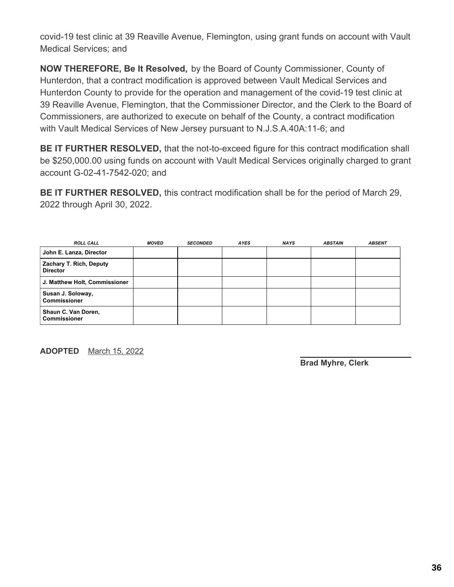covid-19 test clinic at 39 Reaville Avenue, Flemington, using grant funds on account with Vault Medical Services; and

**NOW THEREFORE, Be It Resolved,** by the Board of County Commissioner, County of Hunterdon, that a contract modification is approved between Vault Medical Services and Hunterdon County to provide for the operation and management of the covid-19 test clinic at 39 Reaville Avenue, Flemington, that the Commissioner Director, and the Clerk to the Board of Commissioners, are authorized to execute on behalf of the County, a contract modification with Vault Medical Services of New Jersey pursuant to N.J.S.A.40A:11-6; and

**BE IT FURTHER RESOLVED,** that the not-to-exceed figure for this contract modification shall be \$250,000.00 using funds on account with Vault Medical Services originally charged to grant account G-02-41-7542-020; and

**BE IT FURTHER RESOLVED,** this contract modification shall be for the period of March 29, 2022 through April 30, 2022.

| <b>ROLL CALL</b>                                  | <b>MOVED</b> | <b>SECONDED</b> | <b>AYES</b> | <b>NAYS</b> | <b>ABSTAIN</b> | <b>ABSENT</b> |
|---------------------------------------------------|--------------|-----------------|-------------|-------------|----------------|---------------|
| John E. Lanza, Director                           |              |                 |             |             |                |               |
| <b>Zachary T. Rich, Deputy</b><br><b>Director</b> |              |                 |             |             |                |               |
| J. Matthew Holt, Commissioner                     |              |                 |             |             |                |               |
| Susan J. Soloway,<br><b>Commissioner</b>          |              |                 |             |             |                |               |
| Shaun C. Van Doren,<br><b>Commissioner</b>        |              |                 |             |             |                |               |

**ADOPTED** March 15, 2022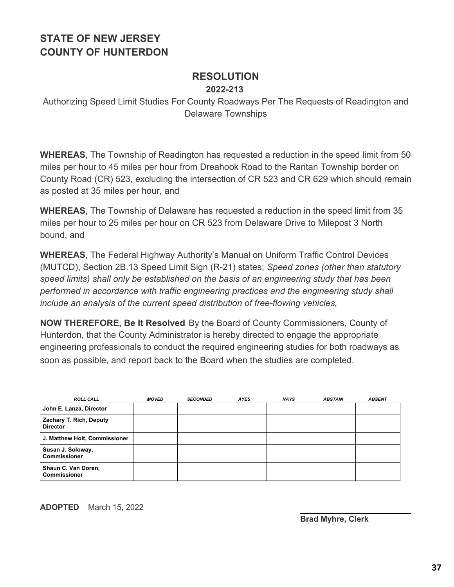### **RESOLUTION 2022-213**

Authorizing Speed Limit Studies For County Roadways Per The Requests of Readington and Delaware Townships

**WHEREAS**, The Township of Readington has requested a reduction in the speed limit from 50 miles per hour to 45 miles per hour from Dreahook Road to the Raritan Township border on County Road (CR) 523, excluding the intersection of CR 523 and CR 629 which should remain as posted at 35 miles per hour, and

**WHEREAS**, The Township of Delaware has requested a reduction in the speed limit from 35 miles per hour to 25 miles per hour on CR 523 from Delaware Drive to Milepost 3 North bound, and

**WHEREAS**, The Federal Highway Authority's Manual on Uniform Traffic Control Devices (MUTCD), Section 2B.13 Speed Limit Sign (R-21) states; *Speed zones (other than statutory speed limits) shall only be established on the basis of an engineering study that has been performed in accordance with traffic engineering practices and the engineering study shall include an analysis of the current speed distribution of free-flowing vehicles,*

**NOW THEREFORE, Be It Resolved** By the Board of County Commissioners, County of Hunterdon, that the County Administrator is hereby directed to engage the appropriate engineering professionals to conduct the required engineering studies for both roadways as soon as possible, and report back to the Board when the studies are completed.

| <b>ROLL CALL</b>                           | <b>MOVED</b> | <b>SECONDED</b> | AYES | <b>NAYS</b> | <b>ABSTAIN</b> | <b>ABSENT</b> |
|--------------------------------------------|--------------|-----------------|------|-------------|----------------|---------------|
| John E. Lanza, Director                    |              |                 |      |             |                |               |
| Zachary T. Rich, Deputy<br><b>Director</b> |              |                 |      |             |                |               |
| J. Matthew Holt, Commissioner              |              |                 |      |             |                |               |
| Susan J. Soloway,<br><b>Commissioner</b>   |              |                 |      |             |                |               |
| Shaun C. Van Doren,<br><b>Commissioner</b> |              |                 |      |             |                |               |

#### **ADOPTED** March 15, 2022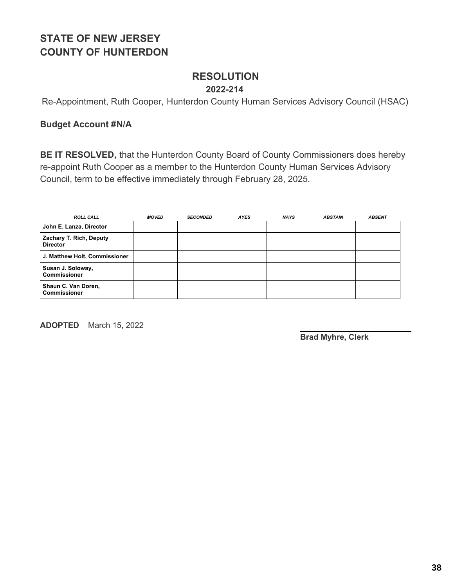### **RESOLUTION 2022-214**

Re-Appointment, Ruth Cooper, Hunterdon County Human Services Advisory Council (HSAC)

#### **Budget Account #N/A**

**BE IT RESOLVED,** that the Hunterdon County Board of County Commissioners does hereby re-appoint Ruth Cooper as a member to the Hunterdon County Human Services Advisory Council, term to be effective immediately through February 28, 2025.

| <b>ROLL CALL</b>                           | <b>MOVED</b> | <b>SECONDED</b> | <b>AYES</b> | <b>NAYS</b> | <b>ABSTAIN</b> | <b>ABSENT</b> |
|--------------------------------------------|--------------|-----------------|-------------|-------------|----------------|---------------|
| John E. Lanza, Director                    |              |                 |             |             |                |               |
| Zachary T. Rich, Deputy<br><b>Director</b> |              |                 |             |             |                |               |
| J. Matthew Holt, Commissioner              |              |                 |             |             |                |               |
| Susan J. Soloway,<br><b>Commissioner</b>   |              |                 |             |             |                |               |
| Shaun C. Van Doren,<br><b>Commissioner</b> |              |                 |             |             |                |               |

**ADOPTED** March 15, 2022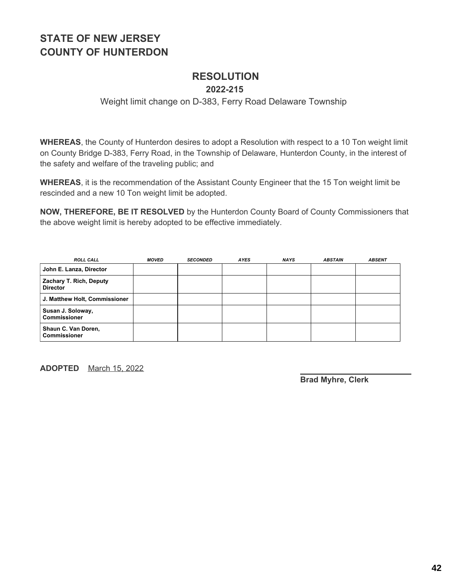# **RESOLUTION**

#### **2022-215**

#### Weight limit change on D-383, Ferry Road Delaware Township

**WHEREAS**, the County of Hunterdon desires to adopt a Resolution with respect to a 10 Ton weight limit on County Bridge D-383, Ferry Road, in the Township of Delaware, Hunterdon County, in the interest of the safety and welfare of the traveling public; and

**WHEREAS**, it is the recommendation of the Assistant County Engineer that the 15 Ton weight limit be rescinded and a new 10 Ton weight limit be adopted.

**NOW, THEREFORE, BE IT RESOLVED** by the Hunterdon County Board of County Commissioners that the above weight limit is hereby adopted to be effective immediately.

| <b>ROLL CALL</b>                           | <b>MOVED</b> | <b>SECONDED</b> | <b>AYES</b> | <b>NAYS</b> | <b>ABSTAIN</b> | <b>ABSENT</b> |
|--------------------------------------------|--------------|-----------------|-------------|-------------|----------------|---------------|
| John E. Lanza, Director                    |              |                 |             |             |                |               |
| Zachary T. Rich, Deputy<br><b>Director</b> |              |                 |             |             |                |               |
| J. Matthew Holt, Commissioner              |              |                 |             |             |                |               |
| Susan J. Soloway,<br><b>Commissioner</b>   |              |                 |             |             |                |               |
| Shaun C. Van Doren,<br><b>Commissioner</b> |              |                 |             |             |                |               |

**ADOPTED** March 15, 2022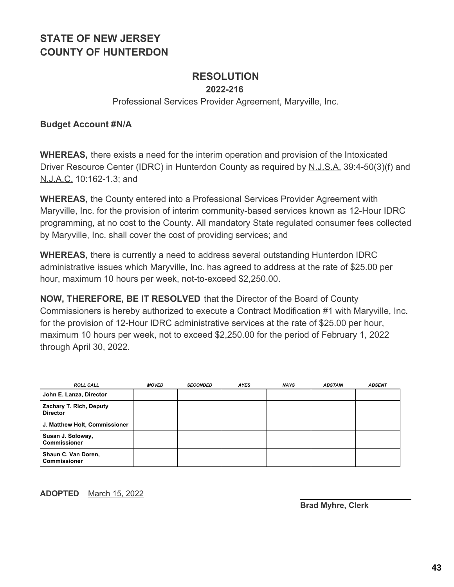### **RESOLUTION**

**2022-216**

Professional Services Provider Agreement, Maryville, Inc.

#### **Budget Account #N/A**

**WHEREAS,** there exists a need for the interim operation and provision of the Intoxicated Driver Resource Center (IDRC) in Hunterdon County as required by N.J.S.A. 39:4-50(3)(f) and N.J.A.C. 10:162-1.3; and

**WHEREAS,** the County entered into a Professional Services Provider Agreement with Maryville, Inc. for the provision of interim community-based services known as 12-Hour IDRC programming, at no cost to the County. All mandatory State regulated consumer fees collected by Maryville, Inc. shall cover the cost of providing services; and

**WHEREAS,** there is currently a need to address several outstanding Hunterdon IDRC administrative issues which Maryville, Inc. has agreed to address at the rate of \$25.00 per hour, maximum 10 hours per week, not-to-exceed \$2,250.00.

**NOW, THEREFORE, BE IT RESOLVED** that the Director of the Board of County Commissioners is hereby authorized to execute a Contract Modification #1 with Maryville, Inc. for the provision of 12-Hour IDRC administrative services at the rate of \$25.00 per hour, maximum 10 hours per week, not to exceed \$2,250.00 for the period of February 1, 2022 through April 30, 2022.

| <b>ROLL CALL</b>                           | <b>MOVED</b> | <b>SECONDED</b> | <b>AYES</b> | <b>NAYS</b> | <b>ABSTAIN</b> | <b>ABSENT</b> |
|--------------------------------------------|--------------|-----------------|-------------|-------------|----------------|---------------|
| John E. Lanza, Director                    |              |                 |             |             |                |               |
| Zachary T. Rich, Deputy<br><b>Director</b> |              |                 |             |             |                |               |
| J. Matthew Holt, Commissioner              |              |                 |             |             |                |               |
| Susan J. Soloway,<br><b>Commissioner</b>   |              |                 |             |             |                |               |
| Shaun C. Van Doren,<br><b>Commissioner</b> |              |                 |             |             |                |               |

**ADOPTED** March 15, 2022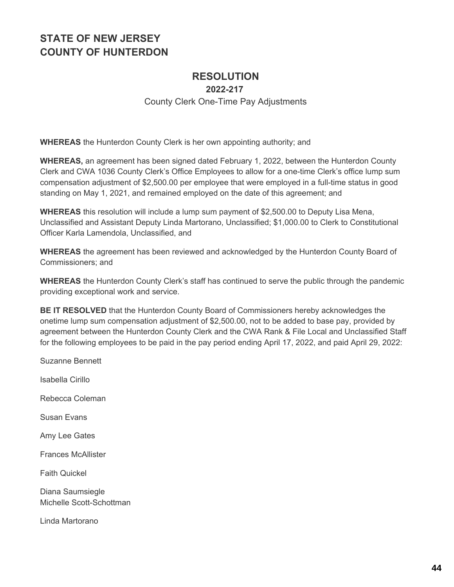# **RESOLUTION**

**2022-217**

County Clerk One-Time Pay Adjustments

**WHEREAS** the Hunterdon County Clerk is her own appointing authority; and

**WHEREAS,** an agreement has been signed dated February 1, 2022, between the Hunterdon County Clerk and CWA 1036 County Clerk's Office Employees to allow for a one-time Clerk's office lump sum compensation adjustment of \$2,500.00 per employee that were employed in a full-time status in good standing on May 1, 2021, and remained employed on the date of this agreement; and

**WHEREAS** this resolution will include a lump sum payment of \$2,500.00 to Deputy Lisa Mena, Unclassified and Assistant Deputy Linda Martorano, Unclassified; \$1,000.00 to Clerk to Constitutional Officer Karla Lamendola, Unclassified, and

**WHEREAS** the agreement has been reviewed and acknowledged by the Hunterdon County Board of Commissioners; and

**WHEREAS** the Hunterdon County Clerk's staff has continued to serve the public through the pandemic providing exceptional work and service.

**BE IT RESOLVED** that the Hunterdon County Board of Commissioners hereby acknowledges the onetime lump sum compensation adjustment of \$2,500.00, not to be added to base pay, provided by agreement between the Hunterdon County Clerk and the CWA Rank & File Local and Unclassified Staff for the following employees to be paid in the pay period ending April 17, 2022, and paid April 29, 2022:

Suzanne Bennett Isabella Cirillo Rebecca Coleman Susan Evans Amy Lee Gates Frances McAllister Faith Quickel Diana Saumsiegle Michelle Scott-Schottman Linda Martorano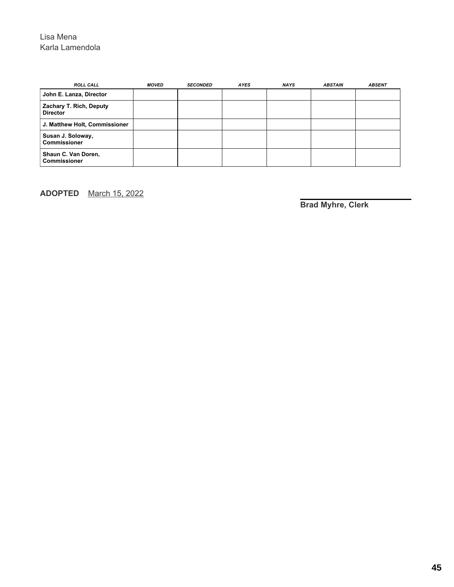#### Lisa Mena Karla Lamendola

| <b>ROLL CALL</b>                           | <b>MOVED</b> | <b>SECONDED</b> | <b>AYES</b> | <b>NAYS</b> | <b>ABSTAIN</b> | <b>ABSENT</b> |
|--------------------------------------------|--------------|-----------------|-------------|-------------|----------------|---------------|
| John E. Lanza, Director                    |              |                 |             |             |                |               |
| Zachary T. Rich, Deputy<br><b>Director</b> |              |                 |             |             |                |               |
| J. Matthew Holt, Commissioner              |              |                 |             |             |                |               |
| Susan J. Soloway,<br><b>Commissioner</b>   |              |                 |             |             |                |               |
| Shaun C. Van Doren,<br><b>Commissioner</b> |              |                 |             |             |                |               |

**ADOPTED** March 15, 2022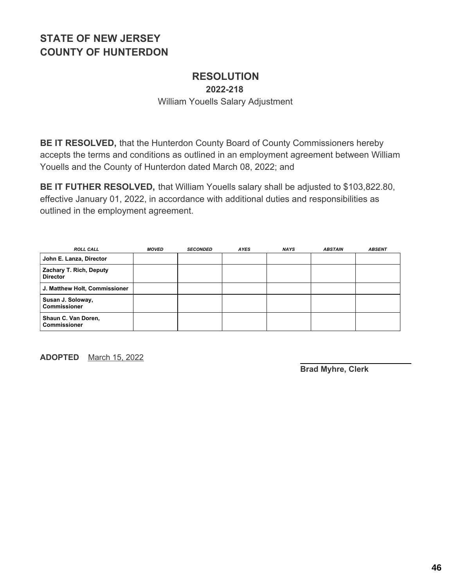# **RESOLUTION**

**2022-218**

William Youells Salary Adjustment

**BE IT RESOLVED,** that the Hunterdon County Board of County Commissioners hereby accepts the terms and conditions as outlined in an employment agreement between William Youells and the County of Hunterdon dated March 08, 2022; and

**BE IT FUTHER RESOLVED,** that William Youells salary shall be adjusted to \$103,822.80, effective January 01, 2022, in accordance with additional duties and responsibilities as outlined in the employment agreement.

| <b>ROLL CALL</b>                           | <b>MOVED</b> | <b>SECONDED</b> | <b>AYES</b> | <b>NAYS</b> | <b>ABSTAIN</b> | <b>ABSENT</b> |
|--------------------------------------------|--------------|-----------------|-------------|-------------|----------------|---------------|
| John E. Lanza, Director                    |              |                 |             |             |                |               |
| Zachary T. Rich, Deputy<br><b>Director</b> |              |                 |             |             |                |               |
| J. Matthew Holt, Commissioner              |              |                 |             |             |                |               |
| Susan J. Soloway,<br><b>Commissioner</b>   |              |                 |             |             |                |               |
| Shaun C. Van Doren,<br><b>Commissioner</b> |              |                 |             |             |                |               |

**ADOPTED** March 15, 2022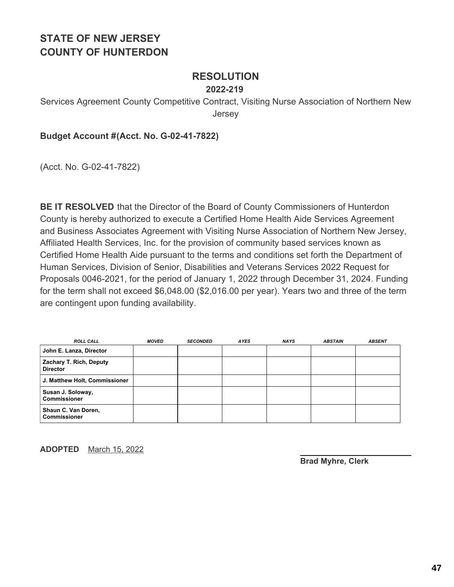### **RESOLUTION**

#### **2022-219**

Services Agreement County Competitive Contract, Visiting Nurse Association of Northern New Jersey

#### **Budget Account #(Acct. No. G-02-41-7822)**

(Acct. No. G-02-41-7822)

**BE IT RESOLVED** that the Director of the Board of County Commissioners of Hunterdon County is hereby authorized to execute a Certified Home Health Aide Services Agreement and Business Associates Agreement with Visiting Nurse Association of Northern New Jersey, Affiliated Health Services, Inc. for the provision of community based services known as Certified Home Health Aide pursuant to the terms and conditions set forth the Department of Human Services, Division of Senior, Disabilities and Veterans Services 2022 Request for Proposals 0046-2021, for the period of January 1, 2022 through December 31, 2024. Funding for the term shall not exceed \$6,048.00 (\$2,016.00 per year). Years two and three of the term are contingent upon funding availability.

| <b>ROLL CALL</b>                           | <b>MOVED</b> | <b>SECONDED</b> | <b>AYES</b> | <b>NAYS</b> | <b>ABSTAIN</b> | <b>ABSENT</b> |
|--------------------------------------------|--------------|-----------------|-------------|-------------|----------------|---------------|
| John E. Lanza, Director                    |              |                 |             |             |                |               |
| Zachary T. Rich, Deputy<br><b>Director</b> |              |                 |             |             |                |               |
| J. Matthew Holt, Commissioner              |              |                 |             |             |                |               |
| Susan J. Soloway,<br><b>Commissioner</b>   |              |                 |             |             |                |               |
| Shaun C. Van Doren,<br><b>Commissioner</b> |              |                 |             |             |                |               |

**ADOPTED** March 15, 2022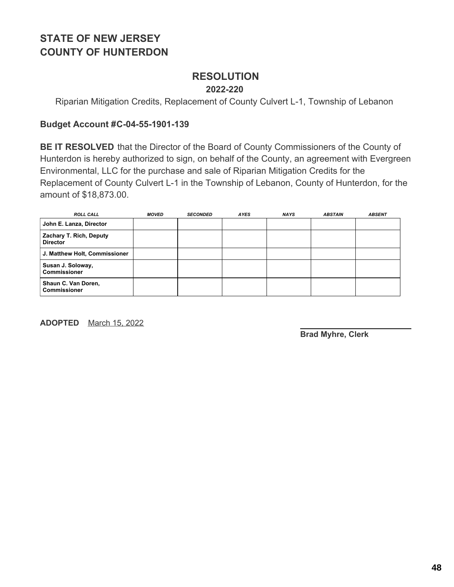# **RESOLUTION**

#### **2022-220**

Riparian Mitigation Credits, Replacement of County Culvert L-1, Township of Lebanon

#### **Budget Account #C-04-55-1901-139**

**BE IT RESOLVED** that the Director of the Board of County Commissioners of the County of Hunterdon is hereby authorized to sign, on behalf of the County, an agreement with Evergreen Environmental, LLC for the purchase and sale of Riparian Mitigation Credits for the Replacement of County Culvert L-1 in the Township of Lebanon, County of Hunterdon, for the amount of \$18,873.00.

| <b>ROLL CALL</b>                           | <b>MOVED</b> | <b>SECONDED</b> | <b>AYES</b> | <b>NAYS</b> | <b>ABSTAIN</b> | <b>ABSENT</b> |
|--------------------------------------------|--------------|-----------------|-------------|-------------|----------------|---------------|
| John E. Lanza, Director                    |              |                 |             |             |                |               |
| Zachary T. Rich, Deputy<br><b>Director</b> |              |                 |             |             |                |               |
| J. Matthew Holt, Commissioner              |              |                 |             |             |                |               |
| Susan J. Soloway,<br><b>Commissioner</b>   |              |                 |             |             |                |               |
| Shaun C. Van Doren,<br><b>Commissioner</b> |              |                 |             |             |                |               |

**ADOPTED** March 15, 2022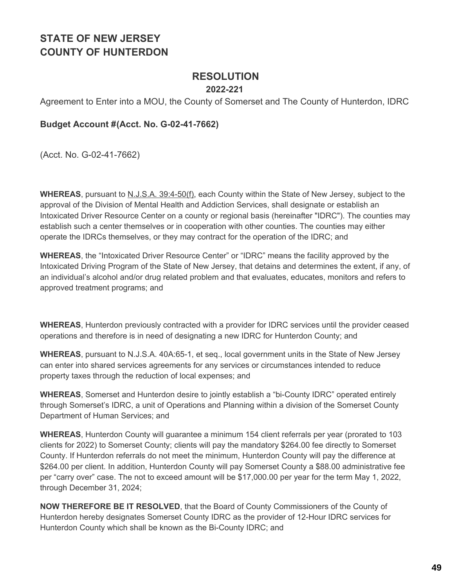### **RESOLUTION**

#### **2022-221**

Agreement to Enter into a MOU, the County of Somerset and The County of Hunterdon, IDRC

#### **Budget Account #(Acct. No. G-02-41-7662)**

(Acct. No. G-02-41-7662)

**WHEREAS**, pursuant to N.J.S.A. 39:4-50(f), each County within the State of New Jersey, subject to the approval of the Division of Mental Health and Addiction Services, shall designate or establish an Intoxicated Driver Resource Center on a county or regional basis (hereinafter "IDRC"). The counties may establish such a center themselves or in cooperation with other counties. The counties may either operate the IDRCs themselves, or they may contract for the operation of the IDRC; and

**WHEREAS**, the "Intoxicated Driver Resource Center" or "IDRC" means the facility approved by the Intoxicated Driving Program of the State of New Jersey, that detains and determines the extent, if any, of an individual's alcohol and/or drug related problem and that evaluates, educates, monitors and refers to approved treatment programs; and

**WHEREAS**, Hunterdon previously contracted with a provider for IDRC services until the provider ceased operations and therefore is in need of designating a new IDRC for Hunterdon County; and

**WHEREAS**, pursuant to N.J.S.A. 40A:65-1, et seq., local government units in the State of New Jersey can enter into shared services agreements for any services or circumstances intended to reduce property taxes through the reduction of local expenses; and

**WHEREAS**, Somerset and Hunterdon desire to jointly establish a "bi-County IDRC" operated entirely through Somerset's IDRC, a unit of Operations and Planning within a division of the Somerset County Department of Human Services; and

**WHEREAS**, Hunterdon County will guarantee a minimum 154 client referrals per year (prorated to 103 clients for 2022) to Somerset County; clients will pay the mandatory \$264.00 fee directly to Somerset County. If Hunterdon referrals do not meet the minimum, Hunterdon County will pay the difference at \$264.00 per client. In addition, Hunterdon County will pay Somerset County a \$88.00 administrative fee per "carry over" case. The not to exceed amount will be \$17,000.00 per year for the term May 1, 2022, through December 31, 2024;

**NOW THEREFORE BE IT RESOLVED**, that the Board of County Commissioners of the County of Hunterdon hereby designates Somerset County IDRC as the provider of 12-Hour IDRC services for Hunterdon County which shall be known as the Bi-County IDRC; and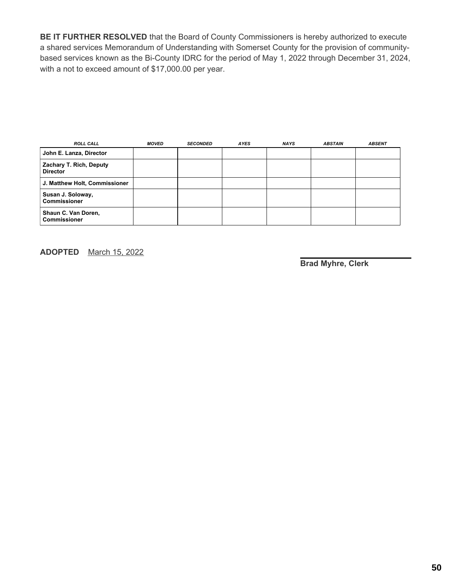**BE IT FURTHER RESOLVED** that the Board of County Commissioners is hereby authorized to execute a shared services Memorandum of Understanding with Somerset County for the provision of communitybased services known as the Bi-County IDRC for the period of May 1, 2022 through December 31, 2024, with a not to exceed amount of \$17,000.00 per year.

| <b>ROLL CALL</b>                                  | <b>MOVED</b> | <b>SECONDED</b> | <b>AYES</b> | <b>NAYS</b> | <b>ABSTAIN</b> | <b>ABSENT</b> |
|---------------------------------------------------|--------------|-----------------|-------------|-------------|----------------|---------------|
| John E. Lanza, Director                           |              |                 |             |             |                |               |
| <b>Zachary T. Rich, Deputy</b><br><b>Director</b> |              |                 |             |             |                |               |
| J. Matthew Holt, Commissioner                     |              |                 |             |             |                |               |
| Susan J. Soloway,<br>Commissioner                 |              |                 |             |             |                |               |
| Shaun C. Van Doren,<br>l Commissioner             |              |                 |             |             |                |               |

**ADOPTED** March 15, 2022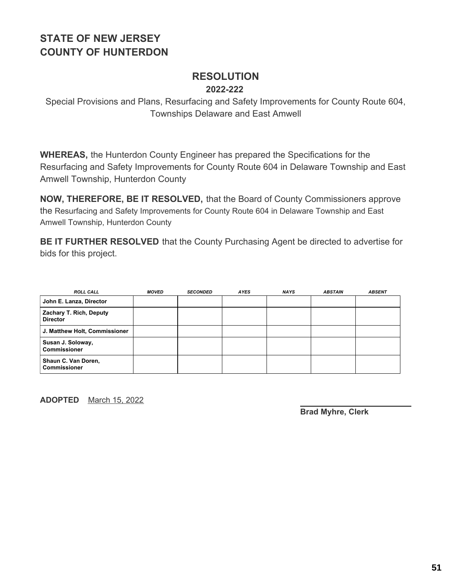### **RESOLUTION 2022-222**

Special Provisions and Plans, Resurfacing and Safety Improvements for County Route 604, Townships Delaware and East Amwell

**WHEREAS,** the Hunterdon County Engineer has prepared the Specifications for the Resurfacing and Safety Improvements for County Route 604 in Delaware Township and East Amwell Township, Hunterdon County

**NOW, THEREFORE, BE IT RESOLVED,** that the Board of County Commissioners approve the Resurfacing and Safety Improvements for County Route 604 in Delaware Township and East Amwell Township, Hunterdon County

**BE IT FURTHER RESOLVED** that the County Purchasing Agent be directed to advertise for bids for this project.

| <b>ROLL CALL</b>                           | <b>MOVED</b> | <b>SECONDED</b> | <b>AYES</b> | <b>NAYS</b> | <b>ABSTAIN</b> | <b>ABSENT</b> |
|--------------------------------------------|--------------|-----------------|-------------|-------------|----------------|---------------|
| John E. Lanza, Director                    |              |                 |             |             |                |               |
| Zachary T. Rich, Deputy<br><b>Director</b> |              |                 |             |             |                |               |
| J. Matthew Holt, Commissioner              |              |                 |             |             |                |               |
| Susan J. Soloway,<br><b>Commissioner</b>   |              |                 |             |             |                |               |
| Shaun C. Van Doren,<br><b>Commissioner</b> |              |                 |             |             |                |               |

**ADOPTED** March 15, 2022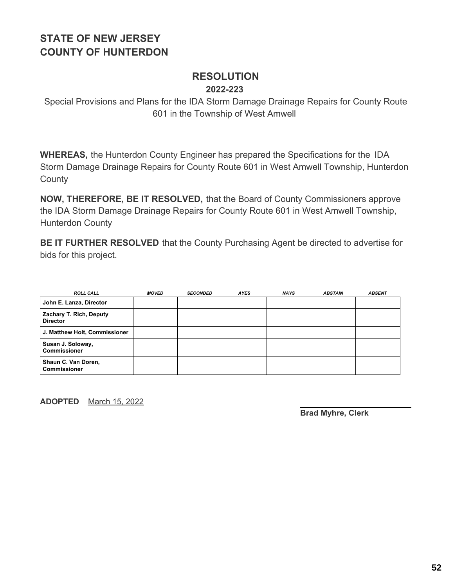### **RESOLUTION 2022-223**

Special Provisions and Plans for the IDA Storm Damage Drainage Repairs for County Route 601 in the Township of West Amwell

**WHEREAS,** the Hunterdon County Engineer has prepared the Specifications for the IDA Storm Damage Drainage Repairs for County Route 601 in West Amwell Township, Hunterdon **County** 

**NOW, THEREFORE, BE IT RESOLVED,** that the Board of County Commissioners approve the IDA Storm Damage Drainage Repairs for County Route 601 in West Amwell Township, Hunterdon County

**BE IT FURTHER RESOLVED** that the County Purchasing Agent be directed to advertise for bids for this project.

| <b>ROLL CALL</b>                           | <b>MOVED</b> | <b>SECONDED</b> | <b>AYES</b> | <b>NAYS</b> | <b>ABSTAIN</b> | <b>ABSENT</b> |
|--------------------------------------------|--------------|-----------------|-------------|-------------|----------------|---------------|
| John E. Lanza, Director                    |              |                 |             |             |                |               |
| Zachary T. Rich, Deputy<br><b>Director</b> |              |                 |             |             |                |               |
| J. Matthew Holt, Commissioner              |              |                 |             |             |                |               |
| Susan J. Soloway,<br>Commissioner          |              |                 |             |             |                |               |
| Shaun C. Van Doren,<br><b>Commissioner</b> |              |                 |             |             |                |               |

**ADOPTED** March 15, 2022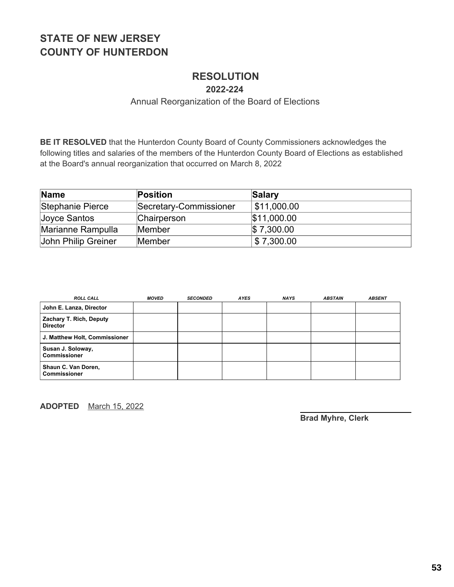# **RESOLUTION**

**2022-224**

#### Annual Reorganization of the Board of Elections

**BE IT RESOLVED** that the Hunterdon County Board of County Commissioners acknowledges the following titles and salaries of the members of the Hunterdon County Board of Elections as established at the Board's annual reorganization that occurred on March 8, 2022

| <b>Name</b>         | <b>Position</b>        | Salary                    |
|---------------------|------------------------|---------------------------|
| Stephanie Pierce    | Secretary-Commissioner | $\frac{1}{2}$ \$11,000.00 |
| Joyce Santos        | Chairperson            | \$11,000.00               |
| Marianne Rampulla   | Member                 | $\$\,7,300.00$            |
| John Philip Greiner | Member                 | \$7,300.00                |

| <b>ROLL CALL</b>                           | <b>MOVED</b> | <b>SECONDED</b> | AYES | <b>NAYS</b> | <b>ABSTAIN</b> | <b>ABSENT</b> |
|--------------------------------------------|--------------|-----------------|------|-------------|----------------|---------------|
| John E. Lanza, Director                    |              |                 |      |             |                |               |
| Zachary T. Rich, Deputy<br><b>Director</b> |              |                 |      |             |                |               |
| J. Matthew Holt, Commissioner              |              |                 |      |             |                |               |
| Susan J. Soloway,<br><b>Commissioner</b>   |              |                 |      |             |                |               |
| Shaun C. Van Doren,<br><b>Commissioner</b> |              |                 |      |             |                |               |

**ADOPTED** March 15, 2022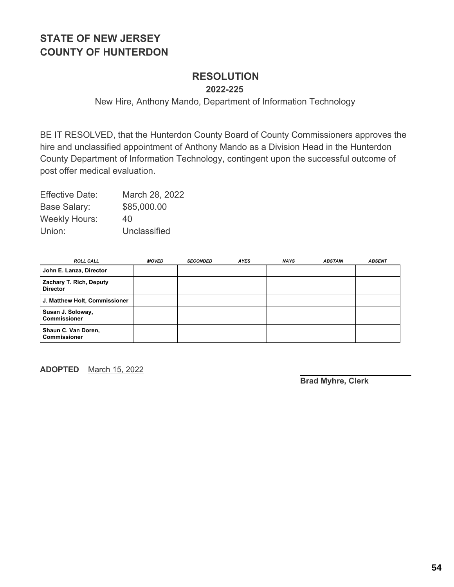# **RESOLUTION**

**2022-225**

New Hire, Anthony Mando, Department of Information Technology

BE IT RESOLVED, that the Hunterdon County Board of County Commissioners approves the hire and unclassified appointment of Anthony Mando as a Division Head in the Hunterdon County Department of Information Technology, contingent upon the successful outcome of post offer medical evaluation.

| <b>Effective Date:</b> | March 28, 2022 |
|------------------------|----------------|
| Base Salary:           | \$85,000.00    |
| <b>Weekly Hours:</b>   | 40             |
| Union:                 | Unclassified   |

| <b>ROLL CALL</b>                           | <b>MOVED</b> | <b>SECONDED</b> | <b>AYES</b> | <b>NAYS</b> | <b>ABSTAIN</b> | <b>ABSENT</b> |
|--------------------------------------------|--------------|-----------------|-------------|-------------|----------------|---------------|
| John E. Lanza, Director                    |              |                 |             |             |                |               |
| Zachary T. Rich, Deputy<br><b>Director</b> |              |                 |             |             |                |               |
| J. Matthew Holt, Commissioner              |              |                 |             |             |                |               |
| Susan J. Soloway,<br><b>Commissioner</b>   |              |                 |             |             |                |               |
| Shaun C. Van Doren,<br><b>Commissioner</b> |              |                 |             |             |                |               |

**ADOPTED** March 15, 2022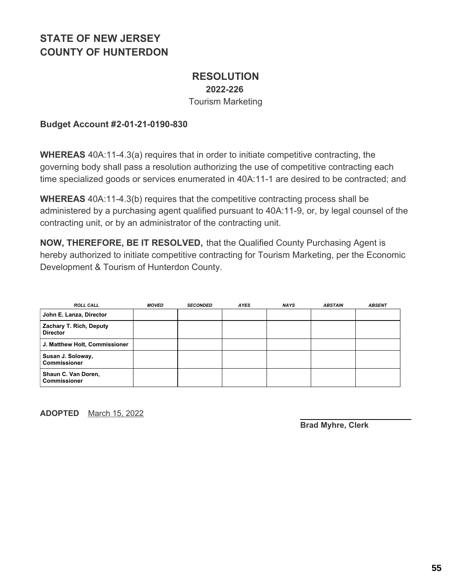### **RESOLUTION 2022-226** Tourism Marketing

#### **Budget Account #2-01-21-0190-830**

**WHEREAS** 40A:11-4.3(a) requires that in order to initiate competitive contracting, the governing body shall pass a resolution authorizing the use of competitive contracting each time specialized goods or services enumerated in 40A:11-1 are desired to be contracted; and

**WHEREAS** 40A:11-4.3(b) requires that the competitive contracting process shall be administered by a purchasing agent qualified pursuant to 40A:11-9, or, by legal counsel of the contracting unit, or by an administrator of the contracting unit.

**NOW, THEREFORE, BE IT RESOLVED,** that the Qualified County Purchasing Agent is hereby authorized to initiate competitive contracting for Tourism Marketing, per the Economic Development & Tourism of Hunterdon County.

| <b>ROLL CALL</b>                           | <b>MOVED</b> | <b>SECONDED</b> | <b>AYES</b> | <b>NAYS</b> | <b>ABSTAIN</b> | <b>ABSENT</b> |
|--------------------------------------------|--------------|-----------------|-------------|-------------|----------------|---------------|
| John E. Lanza, Director                    |              |                 |             |             |                |               |
| Zachary T. Rich, Deputy<br><b>Director</b> |              |                 |             |             |                |               |
| J. Matthew Holt, Commissioner              |              |                 |             |             |                |               |
| Susan J. Soloway,<br><b>Commissioner</b>   |              |                 |             |             |                |               |
| Shaun C. Van Doren,<br><b>Commissioner</b> |              |                 |             |             |                |               |

**ADOPTED** March 15, 2022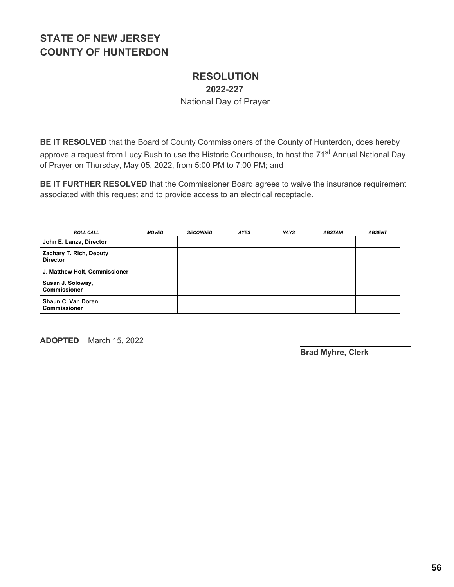### **RESOLUTION 2022-227** National Day of Prayer

**BE IT RESOLVED** that the Board of County Commissioners of the County of Hunterdon, does hereby approve a request from Lucy Bush to use the Historic Courthouse, to host the 71<sup>st</sup> Annual National Day of Prayer on Thursday, May 05, 2022, from 5:00 PM to 7:00 PM; and

**BE IT FURTHER RESOLVED** that the Commissioner Board agrees to waive the insurance requirement associated with this request and to provide access to an electrical receptacle.

| <b>ROLL CALL</b>                           | <b>MOVED</b> | <b>SECONDED</b> | <b>AYES</b> | <b>NAYS</b> | <b>ABSTAIN</b> | <b>ABSENT</b> |
|--------------------------------------------|--------------|-----------------|-------------|-------------|----------------|---------------|
| John E. Lanza, Director                    |              |                 |             |             |                |               |
| Zachary T. Rich, Deputy<br><b>Director</b> |              |                 |             |             |                |               |
| J. Matthew Holt, Commissioner              |              |                 |             |             |                |               |
| Susan J. Soloway,<br><b>Commissioner</b>   |              |                 |             |             |                |               |
| Shaun C. Van Doren,<br><b>Commissioner</b> |              |                 |             |             |                |               |

**ADOPTED** March 15, 2022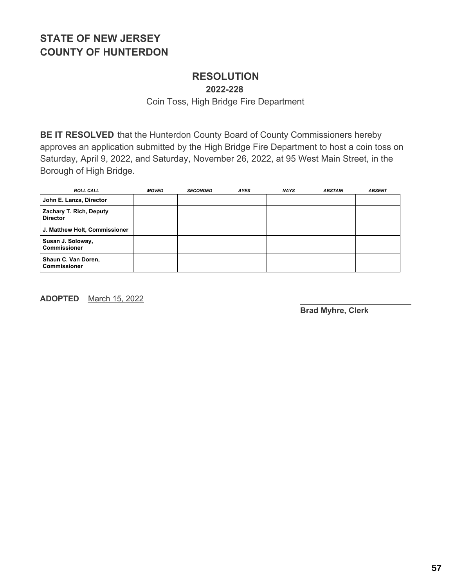### **RESOLUTION**

**2022-228**

Coin Toss, High Bridge Fire Department

**BE IT RESOLVED** that the Hunterdon County Board of County Commissioners hereby approves an application submitted by the High Bridge Fire Department to host a coin toss on Saturday, April 9, 2022, and Saturday, November 26, 2022, at 95 West Main Street, in the Borough of High Bridge.

| <b>ROLL CALL</b>                           | <b>MOVED</b> | <b>SECONDED</b> | <b>AYES</b> | <b>NAYS</b> | <b>ABSTAIN</b> | <b>ABSENT</b> |
|--------------------------------------------|--------------|-----------------|-------------|-------------|----------------|---------------|
| John E. Lanza, Director                    |              |                 |             |             |                |               |
| Zachary T. Rich, Deputy<br><b>Director</b> |              |                 |             |             |                |               |
| J. Matthew Holt, Commissioner              |              |                 |             |             |                |               |
| Susan J. Soloway,<br><b>Commissioner</b>   |              |                 |             |             |                |               |
| Shaun C. Van Doren,<br><b>Commissioner</b> |              |                 |             |             |                |               |

**ADOPTED** March 15, 2022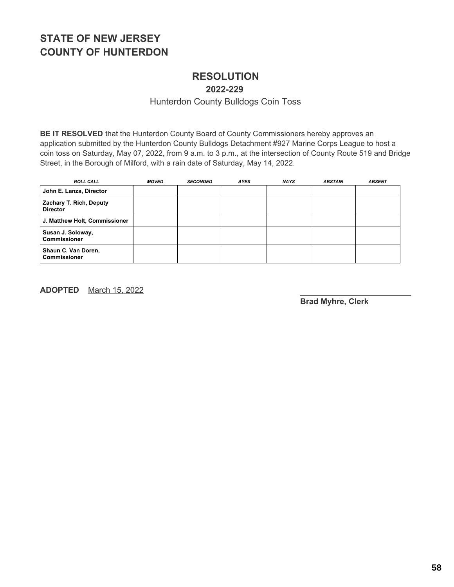# **RESOLUTION**

**2022-229**

Hunterdon County Bulldogs Coin Toss

**BE IT RESOLVED** that the Hunterdon County Board of County Commissioners hereby approves an application submitted by the Hunterdon County Bulldogs Detachment #927 Marine Corps League to host a coin toss on Saturday, May 07, 2022, from 9 a.m. to 3 p.m., at the intersection of County Route 519 and Bridge Street, in the Borough of Milford, with a rain date of Saturday, May 14, 2022.

| <b>ROLL CALL</b>                           | <b>MOVED</b> | <b>SECONDED</b> | <b>AYES</b> | <b>NAYS</b> | <b>ABSTAIN</b> | <b>ABSENT</b> |
|--------------------------------------------|--------------|-----------------|-------------|-------------|----------------|---------------|
| John E. Lanza, Director                    |              |                 |             |             |                |               |
| Zachary T. Rich, Deputy<br><b>Director</b> |              |                 |             |             |                |               |
| J. Matthew Holt, Commissioner              |              |                 |             |             |                |               |
| Susan J. Soloway,<br><b>Commissioner</b>   |              |                 |             |             |                |               |
| Shaun C. Van Doren,<br><b>Commissioner</b> |              |                 |             |             |                |               |

**ADOPTED** March 15, 2022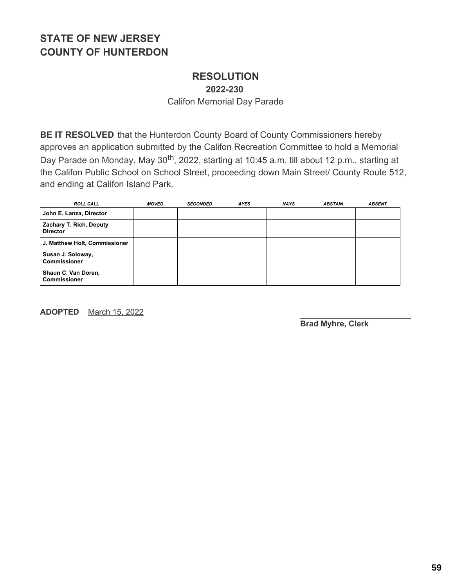#### **RESOLUTION 2022-230**

Califon Memorial Day Parade

**BE IT RESOLVED** that the Hunterdon County Board of County Commissioners hereby approves an application submitted by the Califon Recreation Committee to hold a Memorial Day Parade on Monday, May 30<sup>th</sup>, 2022, starting at 10:45 a.m. till about 12 p.m., starting at the Califon Public School on School Street, proceeding down Main Street/ County Route 512, and ending at Califon Island Park.

| <b>ROLL CALL</b>                           | <b>MOVED</b> | <b>SECONDED</b> | AYES | <b>NAYS</b> | <b>ABSTAIN</b> | <b>ABSENT</b> |
|--------------------------------------------|--------------|-----------------|------|-------------|----------------|---------------|
| John E. Lanza, Director                    |              |                 |      |             |                |               |
| Zachary T. Rich, Deputy<br><b>Director</b> |              |                 |      |             |                |               |
| J. Matthew Holt, Commissioner              |              |                 |      |             |                |               |
| Susan J. Soloway,<br><b>Commissioner</b>   |              |                 |      |             |                |               |
| Shaun C. Van Doren,<br><b>Commissioner</b> |              |                 |      |             |                |               |

**ADOPTED** March 15, 2022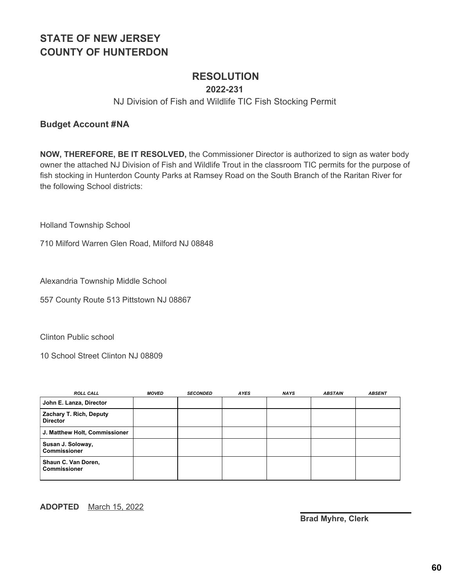### **RESOLUTION**

#### **2022-231**

#### NJ Division of Fish and Wildlife TIC Fish Stocking Permit

#### **Budget Account #NA**

**NOW, THEREFORE, BE IT RESOLVED,** the Commissioner Director is authorized to sign as water body owner the attached NJ Division of Fish and Wildlife Trout in the classroom TIC permits for the purpose of fish stocking in Hunterdon County Parks at Ramsey Road on the South Branch of the Raritan River for the following School districts:

Holland Township School

710 Milford Warren Glen Road, Milford NJ 08848

Alexandria Township Middle School

557 County Route 513 Pittstown NJ 08867

Clinton Public school

10 School Street Clinton NJ 08809

| <b>ROLL CALL</b>                           | <b>MOVED</b> | <b>SECONDED</b> | <b>AYES</b> | <b>NAYS</b> | <b>ABSTAIN</b> | <b>ABSENT</b> |
|--------------------------------------------|--------------|-----------------|-------------|-------------|----------------|---------------|
| John E. Lanza, Director                    |              |                 |             |             |                |               |
| Zachary T. Rich, Deputy<br><b>Director</b> |              |                 |             |             |                |               |
| J. Matthew Holt, Commissioner              |              |                 |             |             |                |               |
| Susan J. Soloway,<br><b>Commissioner</b>   |              |                 |             |             |                |               |
| Shaun C. Van Doren,<br><b>Commissioner</b> |              |                 |             |             |                |               |

#### **ADOPTED** March 15, 2022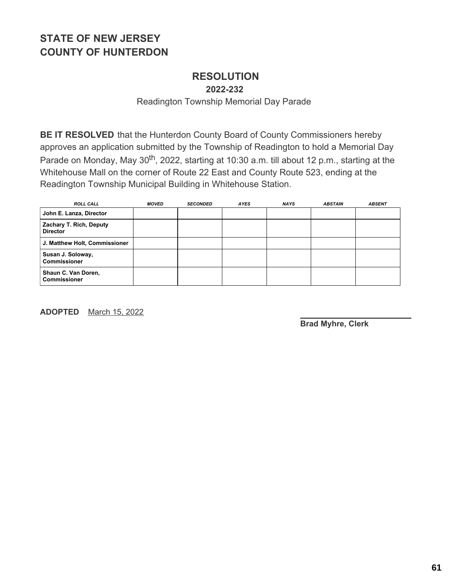# **RESOLUTION**

**2022-232**

Readington Township Memorial Day Parade

**BE IT RESOLVED** that the Hunterdon County Board of County Commissioners hereby approves an application submitted by the Township of Readington to hold a Memorial Day Parade on Monday, May 30<sup>th</sup>, 2022, starting at 10:30 a.m. till about 12 p.m., starting at the Whitehouse Mall on the corner of Route 22 East and County Route 523, ending at the Readington Township Municipal Building in Whitehouse Station.

| <b>ROLL CALL</b>                           | <b>MOVED</b> | <b>SECONDED</b> | AYES | <b>NAYS</b> | <b>ABSTAIN</b> | <b>ABSENT</b> |
|--------------------------------------------|--------------|-----------------|------|-------------|----------------|---------------|
| John E. Lanza, Director                    |              |                 |      |             |                |               |
| Zachary T. Rich, Deputy<br><b>Director</b> |              |                 |      |             |                |               |
| J. Matthew Holt, Commissioner              |              |                 |      |             |                |               |
| Susan J. Soloway,<br><b>Commissioner</b>   |              |                 |      |             |                |               |
| Shaun C. Van Doren,<br><b>Commissioner</b> |              |                 |      |             |                |               |

**ADOPTED** March 15, 2022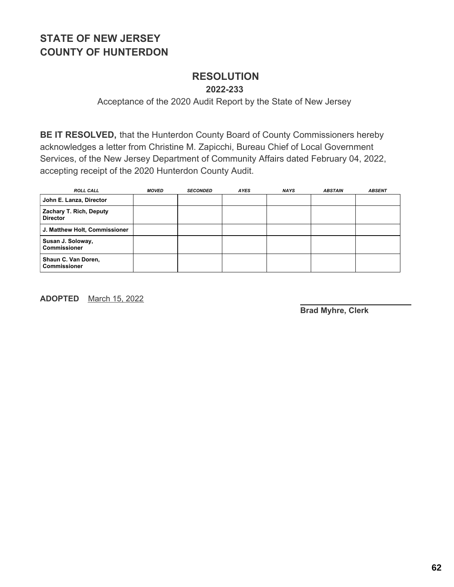#### **RESOLUTION 2022-233**

Acceptance of the 2020 Audit Report by the State of New Jersey

**BE IT RESOLVED,** that the Hunterdon County Board of County Commissioners hereby acknowledges a letter from Christine M. Zapicchi, Bureau Chief of Local Government Services, of the New Jersey Department of Community Affairs dated February 04, 2022, accepting receipt of the 2020 Hunterdon County Audit.

| <b>ROLL CALL</b>                           | <b>MOVED</b> | <b>SECONDED</b> | <b>AYES</b> | <b>NAYS</b> | <b>ABSTAIN</b> | <b>ABSENT</b> |
|--------------------------------------------|--------------|-----------------|-------------|-------------|----------------|---------------|
| John E. Lanza, Director                    |              |                 |             |             |                |               |
| Zachary T. Rich, Deputy<br><b>Director</b> |              |                 |             |             |                |               |
| J. Matthew Holt, Commissioner              |              |                 |             |             |                |               |
| Susan J. Soloway,<br><b>Commissioner</b>   |              |                 |             |             |                |               |
| Shaun C. Van Doren,<br><b>Commissioner</b> |              |                 |             |             |                |               |

**ADOPTED** March 15, 2022